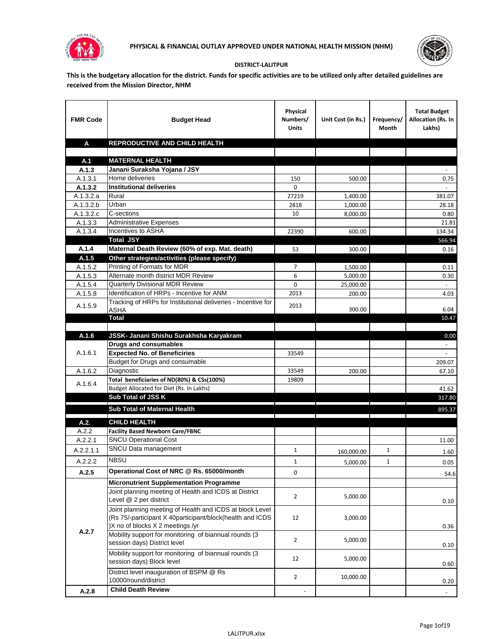



## **DISTRICT-LALITPUR**

**This is the budgetary allocation for the district. Funds for specific activities are to be utilized only after detailed guidelines are received from the Mission Director, NHM**

| <b>FMR Code</b>      | <b>Budget Head</b>                                                                                      | Physical<br>Numbers/<br><b>Units</b> | Unit Cost (in Rs.) | Frequency/<br>Month | <b>Total Budget</b><br>Allocation (Rs. In<br>Lakhs) |
|----------------------|---------------------------------------------------------------------------------------------------------|--------------------------------------|--------------------|---------------------|-----------------------------------------------------|
| A                    | REPRODUCTIVE AND CHILD HEALTH                                                                           |                                      |                    |                     |                                                     |
|                      |                                                                                                         |                                      |                    |                     |                                                     |
| A.1                  | <b>MATERNAL HEALTH</b>                                                                                  |                                      |                    |                     |                                                     |
| A.1.3                | Janani Suraksha Yojana / JSY                                                                            |                                      |                    |                     |                                                     |
| A.1.3.1              | Home deliveries                                                                                         | 150                                  | 500.00             |                     | 0.75                                                |
| A.1.3.2              | <b>Institutional deliveries</b>                                                                         | 0                                    |                    |                     |                                                     |
| A.1.3.2.a            | Rural                                                                                                   | 27219                                | 1,400.00           |                     | 381.07                                              |
| A.1.3.2.b            | Urban                                                                                                   | 2818                                 | 1,000.00           |                     | 28.18                                               |
| A.1.3.2.c<br>A.1.3.3 | C-sections<br><b>Administrative Expenses</b>                                                            | 10                                   | 8,000.00           |                     | 0.80                                                |
| A.1.3.4              | Incentives to ASHA                                                                                      | 22390                                | 600.00             |                     | 21.81<br>134.34                                     |
|                      | <b>Total JSY</b>                                                                                        |                                      |                    |                     | 566.94                                              |
| A.1.4                | Maternal Death Review (60% of exp. Mat. death)                                                          | 53                                   | 300.00             |                     | 0.16                                                |
| A.1.5                | Other strategies/activities (please specify)                                                            |                                      |                    |                     |                                                     |
| A.1.5.2              | Printing of Formats for MDR                                                                             | $\overline{7}$                       | 1.500.00           |                     | 0.11                                                |
| A.1.5.3              | Alternate month district MDR Review                                                                     | 6                                    | 5,000.00           |                     | 0.30                                                |
| A.1.5.4              | <b>Quarterly Divisional MDR Review</b>                                                                  | 0                                    | 25,000.00          |                     |                                                     |
| A.1.5.8              | Identification of HRPs - Incentive for ANM                                                              | 2013                                 | 200.00             |                     | 4.03                                                |
|                      | Tracking of HRPs for Institutional deliveries - Incentive for                                           |                                      |                    |                     |                                                     |
| A.1.5.9              | <b>ASHA</b>                                                                                             | 2013                                 | 300.00             |                     | 6.04                                                |
|                      | <b>Total</b>                                                                                            |                                      |                    |                     | 10.47                                               |
|                      |                                                                                                         |                                      |                    |                     |                                                     |
| A.1.6                | JSSK- Janani Shishu Surakhsha Karyakram                                                                 |                                      |                    |                     | 0.00                                                |
|                      | <b>Drugs and consumables</b>                                                                            |                                      |                    |                     |                                                     |
| A.1.6.1              | <b>Expected No. of Beneficiries</b>                                                                     | 33549                                |                    |                     | $\blacksquare$                                      |
|                      | Budget for Drugs and consumable                                                                         |                                      |                    |                     | 209.07                                              |
| A.1.6.2              | Diagnostic<br>Total beneficiaries of ND(80%) & CSs(100%)                                                | 33549                                | 200.00             |                     | 67.10                                               |
| A.1.6.4              | Budget Allocated for Diet (Rs. In Lakhs)                                                                | 19809                                |                    |                     | 41.62                                               |
|                      | Sub Total of JSS K                                                                                      |                                      |                    |                     | 317.80                                              |
|                      |                                                                                                         |                                      |                    |                     |                                                     |
|                      | Sub Total of Maternal Health                                                                            |                                      |                    |                     | 895.37                                              |
| A.2.                 | <b>CHILD HEALTH</b>                                                                                     |                                      |                    |                     |                                                     |
| A.2.2                | <b>Facility Based Newborn Care/FBNC</b>                                                                 |                                      |                    |                     |                                                     |
| A.2.2.1              | <b>SNCU Operational Cost</b>                                                                            |                                      |                    |                     | 11.00                                               |
| A.2.2.1.1            | SNCU Data management                                                                                    | $\mathbf{1}$                         | 160,000.00         | $\mathbf{1}$        | 1.60                                                |
| A.2.2.2              | <b>NBSU</b>                                                                                             | 1                                    | 5,000.00           | 1                   | 0.05                                                |
| A.2.5                | Operational Cost of NRC @ Rs. 65000/month                                                               | 0                                    |                    |                     |                                                     |
|                      |                                                                                                         |                                      |                    |                     | 54.6                                                |
|                      | <b>Micronutrient Supplementation Programme</b><br>Joint planning meeting of Health and ICDS at District |                                      |                    |                     |                                                     |
|                      | Level @ 2 per district                                                                                  | $\overline{2}$                       | 5,000.00           |                     |                                                     |
|                      | Joint planning meeting of Health and ICDS at block Level                                                |                                      |                    |                     | 0.10                                                |
|                      | (Rs 75/-participant X 40participant/block(health and ICDS                                               | 12                                   | 3,000.00           |                     |                                                     |
|                      | )X no of blocks X 2 meetings /yr                                                                        |                                      |                    |                     | 0.36                                                |
| A.2.7                | Mobility support for monitoring of biannual rounds (3                                                   |                                      |                    |                     |                                                     |
|                      | session days) District level                                                                            | $\overline{2}$                       | 5,000.00           |                     | 0.10                                                |
|                      | Mobility support for monitoring of biannual rounds (3)                                                  |                                      |                    |                     |                                                     |
|                      | session days) Block level                                                                               | 12                                   | 5,000.00           |                     | 0.60                                                |
|                      | District level inauguration of BSPM @ Rs                                                                |                                      |                    |                     |                                                     |
|                      | 10000/round/district                                                                                    | $\overline{2}$                       | 10,000.00          |                     | 0.20                                                |
| A.2.8                | <b>Child Death Review</b>                                                                               |                                      |                    |                     | $\overline{\phantom{a}}$                            |
|                      |                                                                                                         |                                      |                    |                     |                                                     |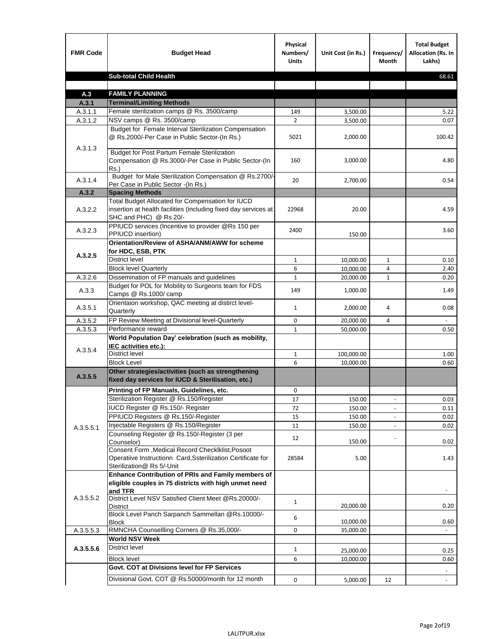| <b>FMR Code</b> | <b>Budget Head</b>                                                                                                                             | Physical<br>Numbers/<br><b>Units</b> | Unit Cost (in Rs.) | Frequency/<br><b>Month</b> | <b>Total Budget</b><br>Allocation (Rs. In<br>Lakhs) |
|-----------------|------------------------------------------------------------------------------------------------------------------------------------------------|--------------------------------------|--------------------|----------------------------|-----------------------------------------------------|
|                 | <b>Sub-total Child Health</b>                                                                                                                  |                                      |                    |                            | 68.61                                               |
|                 |                                                                                                                                                |                                      |                    |                            |                                                     |
| A.3             | <b>FAMILY PLANNING</b>                                                                                                                         |                                      |                    |                            |                                                     |
| A.3.1           | <b>Terminal/Limiting Methods</b>                                                                                                               |                                      |                    |                            |                                                     |
| A.3.1.1         | Female sterilization camps @ Rs. 3500/camp                                                                                                     | 149                                  | 3,500.00           |                            | 5.22                                                |
| A.3.1.2         | NSV camps @ Rs. 3500/camp<br>Budget for Female Interval Sterilization Compensation                                                             | $\overline{2}$                       | 3,500.00           |                            | 0.07                                                |
| A.3.1.3         | @ Rs.2000/-Per Case in Public Sector-(In Rs.)                                                                                                  | 5021                                 | 2,000.00           |                            | 100.42                                              |
|                 | <b>Budget for Post Partum Female Sterilization</b><br>Compensation @ Rs.3000/-Per Case in Public Sector-(In<br>$Rs.$ )                         | 160                                  | 3,000.00           |                            | 4.80                                                |
| A.3.1.4         | Budget for Male Sterilization Compensation @ Rs.2700/-<br>Per Case in Public Sector -(In Rs.)                                                  | 20                                   | 2,700.00           |                            | 0.54                                                |
| A.3.2           | <b>Spacing Methods</b>                                                                                                                         |                                      |                    |                            |                                                     |
| A.3.2.2         | Total Budget Allocated for Compensation for IUCD<br>insertion at health facilities (including fixed day services at<br>SHC and PHC) @ Rs 20/-  | 22968                                | 20.00              |                            | 4.59                                                |
| A.3.2.3         | PPIUCD services (Incentive to provider @Rs 150 per<br>PPIUCD insertion)                                                                        | 2400                                 | 150.00             |                            | 3.60                                                |
| A.3.2.5         | Orientation/Review of ASHA/ANM/AWW for scheme<br>for HDC, ESB, PTK                                                                             |                                      |                    |                            |                                                     |
|                 | <b>District level</b>                                                                                                                          | $\mathbf{1}$                         | 10,000.00          | $\mathbf{1}$               | 0.10                                                |
|                 | <b>Block level Quarterly</b>                                                                                                                   | 6                                    | 10,000.00          | 4                          | 2.40                                                |
| A.3.2.6         | Dissemination of FP manuals and guidelines                                                                                                     | $\mathbf{1}$                         | 20,000.00          | $\mathbf{1}$               | 0.20                                                |
| A.3.3           | Budget for POL for Mobility to Surgeons team for FDS<br>Camps @ Rs.1000/ camp                                                                  | 149                                  | 1,000.00           |                            | 1.49                                                |
| A.3.5.1         | Orientaion workshop, QAC meeting at distirct level-<br>Quarterly                                                                               | $\mathbf{1}$                         | 2,000.00           | 4                          | 0.08                                                |
| A.3.5.2         | FP Review Meeting at Divisional level-Quarterly                                                                                                | 0                                    | 20,000.00          | 4                          |                                                     |
| A.3.5.3         | Performance reward                                                                                                                             | $\mathbf{1}$                         | 50,000.00          |                            | 0.50                                                |
| A.3.5.4         | World Population Day' celebration (such as mobility,<br>IEC activities etc.):                                                                  |                                      |                    |                            |                                                     |
|                 | District level                                                                                                                                 | $\mathbf{1}$                         | 100,000.00         |                            | 1.00                                                |
|                 | <b>Block Level</b>                                                                                                                             | 6                                    | 10,000.00          |                            | 0.60                                                |
| A.3.5.5         | Other strategies/activities (such as strengthening<br>fixed day services for IUCD & Sterilisation, etc.)                                       |                                      |                    |                            |                                                     |
|                 | Printing of FP Manuals, Guidelines, etc.                                                                                                       | 0                                    |                    |                            |                                                     |
|                 | Sterilization Register @ Rs.150/Register                                                                                                       | 17                                   | 150.00             | $\centerdot$               | 0.03                                                |
|                 | IUCD Register @ Rs.150/- Register                                                                                                              | 72                                   | 150.00             |                            | 0.11                                                |
|                 | PPIUCD Registers @ Rs.150/-Register                                                                                                            | 15                                   | 150.00             |                            | 0.02                                                |
| A.3.5.5.1       | Injectable Registers @ Rs.150/Register                                                                                                         | 11                                   | 150.00             |                            | 0.02                                                |
|                 | Counseling Register @ Rs.150/-Register (3 per<br>Counselor)                                                                                    | 12                                   | 150.00             |                            | 0.02                                                |
|                 | Consent Form , Medical Record CheckIklist, Posoot<br>Operatiive Instructionn Card, Ssterilization Certificate for<br>Sterilization@ Rs 5/-Unit | 28584                                | 5.00               |                            | 1.43                                                |
|                 | Enhance Contribution of PRIs and Family members of<br>eligible couples in 75 districts with high unmet need<br>and TFR                         |                                      |                    |                            |                                                     |
| A.3.5.5.2       | District Level NSV Satisfied Client Meet @Rs.20000/-<br>District                                                                               | $\mathbf{1}$                         | 20,000.00          |                            | 0.20                                                |
|                 | Block Level Panch Sarpanch Sammellan @Rs.10000/-<br><b>Block</b>                                                                               | 6                                    | 10,000.00          |                            | 0.60                                                |
| A.3.5.5.3       | RMNCHA Counsellling Corners @ Rs.35,000/-                                                                                                      | 0                                    | 35,000.00          |                            |                                                     |
|                 | <b>World NSV Week</b>                                                                                                                          |                                      |                    |                            |                                                     |
| A.3.5.5.6       | <b>District level</b>                                                                                                                          | $\mathbf{1}$                         | 25,000.00          |                            | 0.25                                                |
|                 | <b>Block level</b>                                                                                                                             | 6                                    | 10,000.00          |                            | 0.60                                                |
|                 | Govt. COT at Divisions level for FP Services                                                                                                   |                                      |                    |                            |                                                     |
|                 | Divisional Govt. COT @ Rs.50000/month for 12 month                                                                                             | 0                                    | 5,000.00           | 12                         | $\omega$                                            |
|                 |                                                                                                                                                |                                      |                    |                            |                                                     |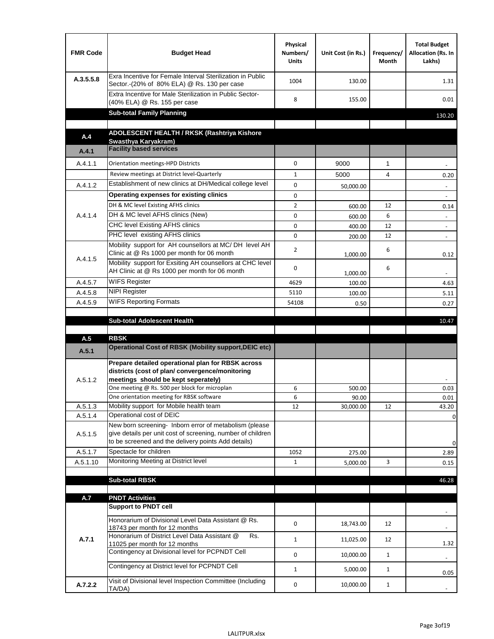| <b>FMR Code</b>    | <b>Budget Head</b>                                                                                                                                                           | Physical<br>Numbers/<br><b>Units</b> | Unit Cost (in Rs.) | Frequency/<br>Month | <b>Total Budget</b><br>Allocation (Rs. In<br>Lakhs) |
|--------------------|------------------------------------------------------------------------------------------------------------------------------------------------------------------------------|--------------------------------------|--------------------|---------------------|-----------------------------------------------------|
| A.3.5.5.8          | Exra Incentive for Female Interval Sterilization in Public<br>Sector.-(20% of 80% ELA) @ Rs. 130 per case                                                                    | 1004                                 | 130.00             |                     | 1.31                                                |
|                    | Extra Incentive for Male Sterilization in Public Sector-<br>(40% ELA) @ Rs. 155 per case                                                                                     | 8                                    | 155.00             |                     | 0.01                                                |
|                    | <b>Sub-total Family Planning</b>                                                                                                                                             |                                      |                    |                     | 130.20                                              |
|                    | ADOLESCENT HEALTH / RKSK (Rashtriya Kishore                                                                                                                                  |                                      |                    |                     |                                                     |
| A.4                | Swasthya Karyakram)                                                                                                                                                          |                                      |                    |                     |                                                     |
| A.4.1              | <b>Facility based services</b>                                                                                                                                               |                                      |                    |                     |                                                     |
| A.4.1.1            | Orientation meetings-HPD Districts                                                                                                                                           | $\Omega$                             | 9000               | $\mathbf{1}$        |                                                     |
|                    | Review meetings at District level-Quarterly                                                                                                                                  | $\mathbf{1}$                         | 5000               | 4                   | 0.20                                                |
| A.4.1.2            | Establishment of new clinics at DH/Medical college level                                                                                                                     | 0                                    | 50,000.00          |                     |                                                     |
|                    | Operating expenses for existing clinics                                                                                                                                      | 0                                    |                    |                     |                                                     |
|                    | DH & MC level Existing AFHS clinics                                                                                                                                          | $\overline{2}$                       | 600.00             | 12                  | 0.14                                                |
| A.4.1.4            | DH & MC level AFHS clinics (New)                                                                                                                                             | 0                                    | 600.00             | 6                   | $\overline{\phantom{a}}$                            |
|                    | CHC level Existing AFHS clinics                                                                                                                                              | 0                                    | 400.00             | 12                  | $\overline{\phantom{a}}$                            |
|                    | PHC level existing AFHS clinics                                                                                                                                              | $\Omega$                             | 200.00             | 12                  | $\sim$                                              |
| A.4.1.5            | Mobility support for AH counsellors at MC/DH level AH<br>Clinic at @ Rs 1000 per month for 06 month                                                                          | 2                                    | 1,000.00           | 6                   | 0.12                                                |
|                    | Mobility support for Exsiting AH counsellors at CHC level<br>AH Clinic at @ Rs 1000 per month for 06 month                                                                   | 0                                    | 1,000.00           | 6                   |                                                     |
| A.4.5.7            | <b>WIFS Register</b>                                                                                                                                                         | 4629                                 | 100.00             |                     | 4.63                                                |
| A.4.5.8            | <b>NIPI Register</b>                                                                                                                                                         | 5110                                 | 100.00             |                     | 5.11                                                |
| A.4.5.9            | <b>WIFS Reporting Formats</b>                                                                                                                                                | 54108                                | 0.50               |                     | 0.27                                                |
|                    |                                                                                                                                                                              |                                      |                    |                     |                                                     |
|                    | <b>Sub-total Adolescent Health</b>                                                                                                                                           |                                      |                    |                     | 10.47                                               |
| A.5                | <b>RBSK</b>                                                                                                                                                                  |                                      |                    |                     |                                                     |
| A.5.1              | <b>Operational Cost of RBSK (Mobility support, DEIC etc)</b>                                                                                                                 |                                      |                    |                     |                                                     |
| A.5.1.2            | Prepare detailed operational plan for RBSK across<br>districts (cost of plan/convergence/monitoring<br>meetings should be kept seperately)                                   |                                      |                    |                     |                                                     |
|                    | One meeting @ Rs. 500 per block for microplan                                                                                                                                | 6                                    | 500.00             |                     | 0.03                                                |
|                    | One orientation meeting for RBSK software                                                                                                                                    | 6                                    | 90.00              |                     | 0.01                                                |
| A.5.1.3            | Mobility support for Mobile health team<br>Operational cost of DEIC                                                                                                          | 12                                   | 30,000.00          | 12                  | 43.20                                               |
| A.5.1.4<br>A.5.1.5 | New born screening- Inborn error of metabolism (please<br>give details per unit cost of screening, number of children<br>to be screened and the delivery points Add details) |                                      |                    |                     | 0<br>0                                              |
| A.5.1.7            | Spectacle for children                                                                                                                                                       | 1052                                 | 275.00             |                     | 2.89                                                |
| A.5.1.10           | Monitoring Meeting at District level                                                                                                                                         | $\mathbf{1}$                         | 5,000.00           | 3                   | 0.15                                                |
|                    |                                                                                                                                                                              |                                      |                    |                     |                                                     |
|                    | <b>Sub-total RBSK</b>                                                                                                                                                        |                                      |                    |                     | 46.28                                               |
| A.7                | <b>PNDT Activities</b>                                                                                                                                                       |                                      |                    |                     |                                                     |
|                    | <b>Support to PNDT cell</b>                                                                                                                                                  |                                      |                    |                     |                                                     |
|                    | Honorarium of Divisional Level Data Assistant @ Rs.<br>18743 per month for 12 months                                                                                         | 0                                    | 18,743.00          | 12                  |                                                     |
| A.7.1              | Honorarium of District Level Data Assistant @<br>Rs.<br>11025 per month for 12 months                                                                                        | $\mathbf{1}$                         | 11,025.00          | 12                  | 1.32                                                |
|                    | Contingency at Divisional level for PCPNDT Cell                                                                                                                              | 0                                    | 10,000.00          | $\mathbf{1}$        | $\overline{\phantom{a}}$                            |
|                    | Contingency at District level for PCPNDT Cell                                                                                                                                | $\mathbf{1}$                         | 5,000.00           | $\mathbf{1}$        | 0.05                                                |
| A.7.2.2            | Visit of Divisional level Inspection Committee (Including<br>TA/DA)                                                                                                          | 0                                    | 10,000.00          | $\mathbf{1}$        |                                                     |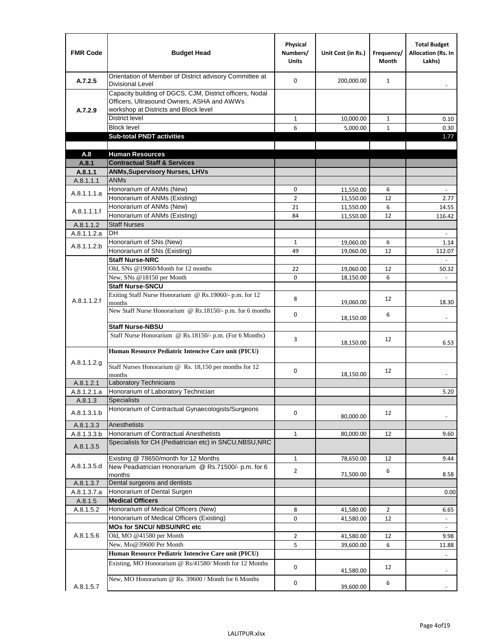| <b>FMR Code</b>      | <b>Budget Head</b>                                                                                                                              | Physical<br>Numbers/<br><b>Units</b> | Unit Cost (in Rs.)     | Frequency/<br><b>Month</b> | <b>Total Budget</b><br><b>Allocation (Rs. In</b><br>Lakhs) |
|----------------------|-------------------------------------------------------------------------------------------------------------------------------------------------|--------------------------------------|------------------------|----------------------------|------------------------------------------------------------|
| A.7.2.5              | Orientation of Member of District advisory Committee at<br><b>Divisional Level</b>                                                              | $\Omega$                             | 200,000.00             | $\mathbf{1}$               | $\overline{\phantom{m}}$                                   |
| A.7.2.9              | Capacity building of DGCS, CJM, District officers, Nodal<br>Officers, Ultrasound Owners, ASHA and AWWs<br>workshop at Districts and Block level |                                      |                        |                            |                                                            |
|                      | <b>District level</b>                                                                                                                           | $\mathbf{1}$                         | 10,000.00              | 1                          | 0.10                                                       |
|                      | <b>Block level</b>                                                                                                                              | 6                                    | 5,000.00               | $\mathbf{1}$               | 0.30                                                       |
|                      | <b>Sub-total PNDT activities</b>                                                                                                                |                                      |                        |                            | 1.77                                                       |
|                      |                                                                                                                                                 |                                      |                        |                            |                                                            |
| A.8                  | <b>Human Resources</b>                                                                                                                          |                                      |                        |                            |                                                            |
| A.8.1                | <b>Contractual Staff &amp; Services</b>                                                                                                         |                                      |                        |                            |                                                            |
| A.8.1.1<br>A.8.1.1.1 | <b>ANMs, Supervisory Nurses, LHVs</b><br><b>ANMs</b>                                                                                            |                                      |                        |                            |                                                            |
|                      | Honorarium of ANMs (New)                                                                                                                        | 0                                    |                        | 6                          | $\blacksquare$                                             |
| A.8.1.1.1.a          | Honorarium of ANMs (Existing)                                                                                                                   | $\overline{2}$                       | 11,550.00<br>11,550.00 | 12                         | 2.77                                                       |
|                      | Honorarium of ANMs (New)                                                                                                                        | 21                                   | 11,550.00              | 6                          | 14.55                                                      |
| A.8.1.1.1.f          | Honorarium of ANMs (Existing)                                                                                                                   | 84                                   | 11,550.00              | 12                         | 116.42                                                     |
| A.8.1.1.2            | <b>Staff Nurses</b>                                                                                                                             |                                      |                        |                            |                                                            |
| A.8.1.1.2.a          | <b>DH</b>                                                                                                                                       |                                      |                        |                            | $\blacksquare$                                             |
|                      | Honorarium of SNs (New)                                                                                                                         | $\mathbf{1}$                         | 19,060.00              | 6                          | 1.14                                                       |
| A.8.1.1.2.b          | Honorarium of SNs (Existing)                                                                                                                    | 49                                   | 19.060.00              | 12                         | 112.07                                                     |
|                      | <b>Staff Nurse-NRC</b>                                                                                                                          |                                      |                        |                            | $\overline{\phantom{a}}$                                   |
|                      | Old, SNs @19060/Month for 12 months                                                                                                             | 22                                   | 19,060.00              | 12                         | 50.32                                                      |
|                      | New, SNs @18150 per Month                                                                                                                       | 0                                    | 18,150.00              | 6                          |                                                            |
|                      | <b>Staff Nurse-SNCU</b>                                                                                                                         |                                      |                        |                            |                                                            |
| A.8.1.1.2.f          | Exiting Staff Nurse Honorarium @ Rs.19060/- p.m. for 12<br>months                                                                               | 8                                    | 19,060.00              | 12                         | 18.30                                                      |
|                      | New Staff Nurse Honorarium @ Rs.18150/- p.m. for 6 months                                                                                       | 0                                    | 18,150.00              | 6                          |                                                            |
|                      | <b>Staff Nurse-NBSU</b>                                                                                                                         |                                      |                        |                            |                                                            |
|                      | Staff Nurse Honorarium @ Rs.18150/- p.m. (For 6 Months)                                                                                         | 3                                    | 18,150.00              | 12                         | 6.53                                                       |
|                      | Human Resource Pediatric Intencive Care unit (PICU)                                                                                             |                                      |                        |                            |                                                            |
| A.8.1.1.2.g          | Staff Nurses Honorarium @ Rs. 18,150 per months for 12<br>months                                                                                | 0                                    | 18,150.00              | 12                         |                                                            |
| A.8.1.2.1            | <b>Laboratory Technicians</b>                                                                                                                   |                                      |                        |                            |                                                            |
| A.8.1.2.1.a          | Honorarium of Laboratory Technician                                                                                                             |                                      |                        |                            | 5.20                                                       |
| A.8.1.3              | <b>Specialists</b>                                                                                                                              |                                      |                        |                            |                                                            |
| A.8.1.3.1.b          | Honorarium of Contractual Gynaecologists/Surgeons                                                                                               | $\mathbf 0$                          | 80,000.00              | 12                         |                                                            |
| A.8.1.3.3            | Anesthetists                                                                                                                                    |                                      |                        |                            |                                                            |
| A.8.1.3.3.b          | Honorarium of Contractual Anesthetists                                                                                                          | $\mathbf{1}$                         | 80,000.00              | 12                         | 9.60                                                       |
| A.8.1.3.5            | Specialists for CH (Pediatrician etc) in SNCU, NBSU, NRC                                                                                        |                                      |                        |                            |                                                            |
|                      | Existing @ 78650/month for 12 Months                                                                                                            | $\mathbf{1}$                         | 78,650.00              | 12                         | 9.44                                                       |
| A.8.1.3.5.d          | New Peadiatrician Honorarium @ Rs.71500/- p.m. for 6<br>months                                                                                  | $\overline{2}$                       | 71,500.00              | 6                          | 8.58                                                       |
| A.8.1.3.7            | Dental surgeons and dentists                                                                                                                    |                                      |                        |                            |                                                            |
| A.8.1.3.7.a          | Honorarium of Dental Surgen                                                                                                                     |                                      |                        |                            | 0.00                                                       |
| A.8.1.5              | <b>Medical Officers</b>                                                                                                                         |                                      |                        |                            |                                                            |
| A.8.1.5.2            | Honorarium of Medical Officers (New)                                                                                                            | 8                                    | 41,580.00              | $\overline{2}$             | 6.65                                                       |
|                      | Honorarium of Medical Officers (Existing)                                                                                                       | 0                                    | 41,580.00              | 12                         | $\overline{\phantom{a}}$                                   |
|                      | MOs for SNCU/ NBSU/NRC etc                                                                                                                      |                                      |                        |                            |                                                            |
| A.8.1.5.6            | Old, MO @41580 per Month                                                                                                                        | $\overline{2}$                       | 41,580.00              | 12                         | 9.98                                                       |
|                      | New, Mo@39600 Per Month                                                                                                                         | 5                                    | 39,600.00              | 6                          | 11.88                                                      |
|                      | Human Resource Pediatric Intencive Care unit (PICU)                                                                                             |                                      |                        |                            |                                                            |
|                      | Existing, MO Honorarium @ Rs/41580/ Month for 12 Months                                                                                         | $\mathbf 0$                          | 41,580.00              | 12                         |                                                            |
| A.8.1.5.7            | New, MO Honorarium @ Rs. 39600 / Month for 6 Months                                                                                             | 0                                    | 39,600.00              | 6                          |                                                            |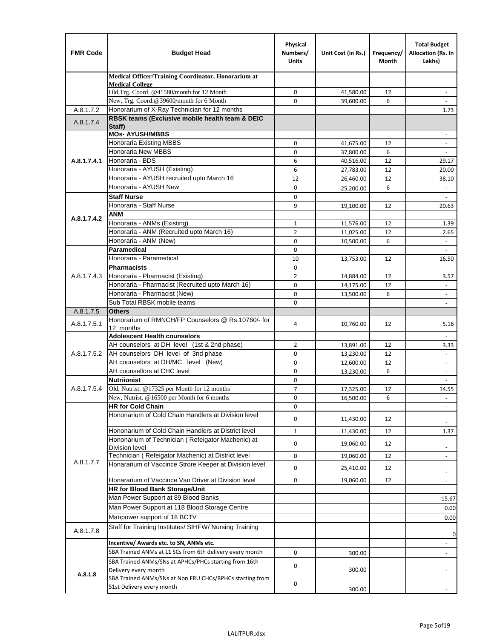| <b>FMR Code</b> | <b>Budget Head</b>                                                                    | Physical<br>Numbers/<br><b>Units</b> | Unit Cost (in Rs.)     | Frequency/<br>Month | <b>Total Budget</b><br>Allocation (Rs. In<br>Lakhs) |
|-----------------|---------------------------------------------------------------------------------------|--------------------------------------|------------------------|---------------------|-----------------------------------------------------|
|                 | Medical Officer/Training Coordinator, Honorarium at                                   |                                      |                        |                     |                                                     |
|                 | <b>Medical College</b><br>Old, Trg. Coord. @41580/month for 12 Month                  | $\mathbf 0$                          | 41,580.00              | 12                  | $\overline{\phantom{a}}$                            |
|                 | New, Trg. Coord.@39600/month for 6 Month                                              | $\Omega$                             | 39,600.00              | 6                   |                                                     |
| A.8.1.7.2       | Honorarium of X-Ray Technician for 12 months                                          |                                      |                        |                     | 1.73                                                |
| A.8.1.7.4       | RBSK teams (Exclusive mobile health team & DEIC<br>Staff)                             |                                      |                        |                     |                                                     |
|                 | <b>MOs- AYUSH/MBBS</b>                                                                |                                      |                        |                     |                                                     |
|                 | <b>Honoraria Existing MBBS</b>                                                        | $\mathbf 0$                          | 41,675.00              | 12                  | $\blacksquare$                                      |
|                 | Honoraria New MBBS                                                                    | 0                                    | 37,800.00              | 6                   | $\blacksquare$                                      |
| A.8.1.7.4.1     | Honoraria - BDS                                                                       | 6                                    | 40,516.00              | 12                  | 29.17                                               |
|                 | Honoraria - AYUSH (Existing)                                                          | 6                                    | 27,783.00              | 12                  | 20.00                                               |
|                 | Honoraria - AYUSH recruited upto March 16                                             | 12                                   | 26,460.00              | 12                  | 38.10                                               |
|                 | Honoraria - AYUSH New                                                                 | $\mathbf 0$                          | 25,200.00              | 6                   | $\overline{\phantom{a}}$                            |
|                 | <b>Staff Nurse</b>                                                                    | $\Omega$                             |                        |                     |                                                     |
|                 | Honoraria - Staff Nurse                                                               | 9                                    | 19,100.00              | 12                  | 20.63                                               |
| A.8.1.7.4.2     | <b>ANM</b><br>Honoraria - ANMs (Existing)                                             |                                      |                        |                     |                                                     |
|                 | Honoraria - ANM (Recruited upto March 16)                                             | $\mathbf{1}$<br>$\overline{2}$       | 11,576.00<br>11,025.00 | 12<br>12            | 1.39<br>2.65                                        |
|                 | Honoraria - ANM (New)                                                                 | 0                                    | 10,500.00              | 6                   |                                                     |
|                 | Paramedical                                                                           | $\mathbf 0$                          |                        |                     | $\overline{\phantom{a}}$                            |
|                 | Honoraria - Paramedical                                                               | 10                                   | 13,753.00              | 12                  | 16.50                                               |
|                 | <b>Pharmacists</b>                                                                    | $\mathbf 0$                          |                        |                     |                                                     |
| A.8.1.7.4.3     | Honoraria - Pharmacist (Existing)                                                     | $\overline{2}$                       | 14,884.00              | 12                  | 3.57                                                |
|                 | Honoraria - Pharmacist (Recruited upto March 16)                                      | 0                                    | 14,175.00              | 12                  | $\blacksquare$                                      |
|                 | Honoraria - Pharmacist (New)                                                          | $\mathbf 0$                          | 13,500.00              | 6                   | ÷,                                                  |
|                 | Sub Total RBSK mobile teams                                                           | $\Omega$                             |                        |                     | $\overline{\phantom{a}}$                            |
| A.8.1.7.5       | <b>Others</b>                                                                         |                                      |                        |                     |                                                     |
| A.8.1.7.5.1     | Honorarium of RMNCH/FP Counselors @ Rs.10760/- for                                    | 4                                    | 10,760.00              | 12                  | 5.16                                                |
|                 | 12 months                                                                             |                                      |                        |                     |                                                     |
|                 | <b>Adolescent Health counselors</b><br>AH counselors at DH level (1st & 2nd phase)    |                                      |                        |                     | $\blacksquare$                                      |
| A.8.1.7.5.2     | AH counselors DH level of 3nd phase                                                   | 2<br>$\mathbf 0$                     | 13,891.00              | 12<br>12            | 3.33<br>$\overline{\phantom{a}}$                    |
|                 | AH counselors at DH/MC level (New)                                                    | 0                                    | 13,230.00<br>12,600.00 | 12                  | $\overline{\phantom{a}}$                            |
|                 | AH counsellors at CHC level                                                           | $\mathbf 0$                          | 13,230.00              | 6                   | ÷,                                                  |
|                 | <b>Nutriionist</b>                                                                    | 0                                    |                        |                     | $\overline{\phantom{a}}$                            |
| A.8.1.7.5.4     | Old, Nutrist. @17325 per Month for 12 months                                          | $\overline{7}$                       | 17,325.00              | 12                  | 14.55                                               |
|                 | New, Nutrist. $@16500$ per Month for 6 months                                         | 0                                    | 16,500.00              | 6                   |                                                     |
|                 | <b>HR for Cold Chain</b>                                                              | 0                                    |                        |                     |                                                     |
|                 | Hononarium of Cold Chain Handlers at Division level                                   | 0                                    | 11,430.00              | 12                  |                                                     |
|                 | Hononarium of Cold Chain Handlers at District level                                   | $\mathbf{1}$                         | 11,430.00              | 12                  | 1.37                                                |
|                 | Hononarium of Technician (Refeigator Machenic) at                                     | 0                                    |                        | 12                  |                                                     |
|                 | <b>Division level</b>                                                                 |                                      | 19,060.00              |                     | $\overline{\phantom{a}}$                            |
| A.8.1.7.7       | Technician (Refeigator Machenic) at District level                                    | 0                                    | 19,060.00              | 12                  | $\blacksquare$                                      |
|                 | Honararium of Vaccince Strore Keeper at Division level                                | 0                                    | 25,410.00              | 12                  | $\overline{\phantom{a}}$                            |
|                 | Honararium of Vaccince Van Driver at Division level                                   | 0                                    | 19,060.00              | 12                  | $\overline{\phantom{a}}$                            |
|                 | <b>HR for Blood Bank Storage/Unit</b>                                                 |                                      |                        |                     |                                                     |
|                 | Man Power Support at 89 Blood Banks                                                   |                                      |                        |                     | 15.67                                               |
|                 | Man Power Support at 118 Blood Storage Centre                                         |                                      |                        |                     | 0.00                                                |
|                 | Manpower support of 18 BCTV                                                           |                                      |                        |                     | 0.00                                                |
| A.8.1.7.8       | Staff for Training Institutes/ SIHFW/ Nursing Training                                |                                      |                        |                     | 0                                                   |
|                 | Incentive/ Awards etc. to SN, ANMs etc.                                               |                                      |                        |                     | $\overline{\phantom{a}}$                            |
|                 | SBA Trained ANMs at L1 SCs from 6th delivery every month                              | 0                                    | 300.00                 |                     | $\blacksquare$                                      |
|                 | SBA Trained ANMs/SNs at APHCs/PHCs starting from 16th<br>Delivery every month         | 0                                    | 300.00                 |                     |                                                     |
| A.8.1.8         | SBA Trained ANMs/SNs at Non FRU CHCs/BPHCs starting from<br>51st Delivery every month | 0                                    | 300.00                 |                     |                                                     |
|                 |                                                                                       |                                      |                        |                     |                                                     |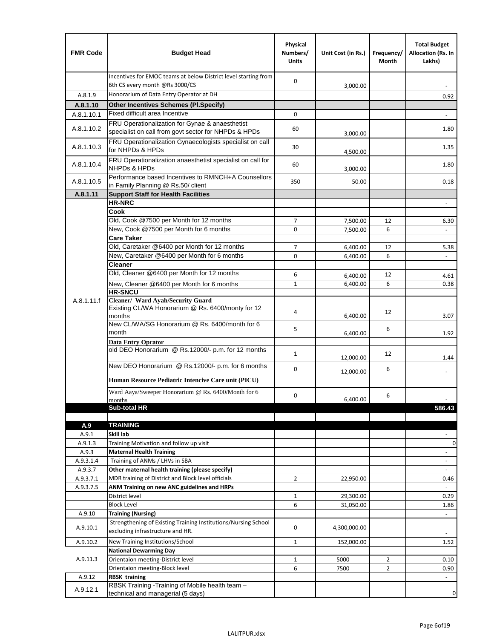| <b>FMR Code</b>  | <b>Budget Head</b>                                                                                      | Physical<br>Numbers/<br><b>Units</b> | Unit Cost (in Rs.) | Frequency/<br>Month | <b>Total Budget</b><br>Allocation (Rs. In<br>Lakhs) |
|------------------|---------------------------------------------------------------------------------------------------------|--------------------------------------|--------------------|---------------------|-----------------------------------------------------|
|                  | Incentives for EMOC teams at below District level starting from<br>6th CS every month @Rs 3000/CS       | 0                                    | 3,000.00           |                     |                                                     |
| A.8.1.9          | Honorarium of Data Entry Operator at DH                                                                 |                                      |                    |                     | 0.92                                                |
| A.8.1.10         | <b>Other Incentives Schemes (Pl.Specify)</b>                                                            |                                      |                    |                     |                                                     |
| A.8.1.10.1       | Fixed difficult area Incentive                                                                          | 0                                    |                    |                     |                                                     |
| A.8.1.10.2       | FRU Operationalization for Gynae & anaesthetist<br>specialist on call from govt sector for NHPDs & HPDs | 60                                   | 3,000.00           |                     | 1.80                                                |
| A.8.1.10.3       | FRU Operationalization Gynaecologists specialist on call<br>for NHPDs & HPDs                            | 30                                   | 4,500.00           |                     | 1.35                                                |
| A.8.1.10.4       | FRU Operationalization anaesthetist specialist on call for<br><b>NHPDs &amp; HPDs</b>                   | 60                                   | 3,000.00           |                     | 1.80                                                |
| A.8.1.10.5       | Performance based Incentives to RMNCH+A Counsellors<br>in Family Planning @ Rs.50/ client               | 350                                  | 50.00              |                     | 0.18                                                |
| A.8.1.11         | <b>Support Staff for Health Facilities</b>                                                              |                                      |                    |                     |                                                     |
|                  | <b>HR-NRC</b>                                                                                           |                                      |                    |                     | $\overline{\phantom{a}}$                            |
|                  | Cook                                                                                                    |                                      |                    |                     |                                                     |
|                  | Old, Cook @7500 per Month for 12 months                                                                 | 7                                    | 7,500.00           | 12                  | 6.30                                                |
|                  | New, Cook @7500 per Month for 6 months<br><b>Care Taker</b>                                             | 0                                    | 7,500.00           | 6                   | $\blacksquare$                                      |
|                  | Old, Caretaker @6400 per Month for 12 months                                                            | 7                                    | 6,400.00           | 12                  | 5.38                                                |
|                  | New, Caretaker @6400 per Month for 6 months                                                             | 0                                    | 6,400.00           | 6                   | $\overline{a}$                                      |
|                  | <b>Cleaner</b>                                                                                          |                                      |                    |                     |                                                     |
|                  | Old, Cleaner @6400 per Month for 12 months                                                              | 6                                    | 6,400.00           | 12                  | 4.61                                                |
|                  | New, Cleaner @6400 per Month for 6 months                                                               | $\mathbf{1}$                         | 6,400.00           | 6                   | 0.38                                                |
|                  | <b>HR-SNCU</b>                                                                                          |                                      |                    |                     |                                                     |
| A.8.1.11.f       | Cleaner/ Ward Ayah/Security Guard                                                                       |                                      |                    |                     |                                                     |
|                  | Existing CL/WA Honorarium @ Rs. 6400/monty for 12<br>months                                             | 4                                    | 6,400.00           | 12                  | 3.07                                                |
|                  | New CL/WA/SG Honorarium @ Rs. 6400/month for 6<br>month                                                 | 5                                    | 6,400.00           | 6                   | 1.92                                                |
|                  | <b>Data Entry Oprator</b><br>old DEO Honorarium @ Rs.12000/- p.m. for 12 months                         |                                      |                    |                     |                                                     |
|                  |                                                                                                         | $\mathbf{1}$                         | 12,000.00          | 12                  | 1.44                                                |
|                  | New DEO Honorarium @ Rs.12000/- p.m. for 6 months                                                       | 0                                    | 12,000.00          | 6                   |                                                     |
|                  | Human Resource Pediatric Intencive Care unit (PICU)                                                     |                                      |                    |                     |                                                     |
|                  | Ward Aaya/Sweeper Honorarium @ Rs. 6400/Month for 6                                                     |                                      |                    |                     |                                                     |
|                  | months                                                                                                  | 0                                    | 6,400.00           | 6                   |                                                     |
|                  | Sub-total HR                                                                                            |                                      |                    |                     | 586.43                                              |
|                  |                                                                                                         |                                      |                    |                     |                                                     |
| A.9              | <b>TRAINING</b>                                                                                         |                                      |                    |                     |                                                     |
| A.9.1            | Skill lab                                                                                               |                                      |                    |                     |                                                     |
| A.9.1.3<br>A.9.3 | Training Motivation and follow up visit<br><b>Maternal Health Training</b>                              |                                      |                    |                     | 0<br>$\blacksquare$                                 |
| A.9.3.1.4        | Training of ANMs / LHVs in SBA                                                                          |                                      |                    |                     | $\overline{\phantom{a}}$                            |
| A.9.3.7          | Other maternal health training (please specify)                                                         |                                      |                    |                     | $\overline{\phantom{a}}$                            |
| A.9.3.7.1        | MDR training of District and Block level officials                                                      | $\overline{2}$                       | 22,950.00          |                     | 0.46                                                |
| A.9.3.7.5        | ANM Training on new ANC guidelines and HRPs                                                             |                                      |                    |                     |                                                     |
|                  | District level                                                                                          | $\mathbf 1$                          | 29,300.00          |                     | 0.29                                                |
|                  | <b>Block Level</b>                                                                                      | 6                                    | 31,050.00          |                     | 1.86                                                |
| A.9.10           | <b>Training (Nursing)</b>                                                                               |                                      |                    |                     | $\blacksquare$                                      |
| A.9.10.1         | Strengthening of Existing Training Institutions/Nursing School<br>excluding infrastructure and HR.      | 0                                    | 4,300,000.00       |                     |                                                     |
| A.9.10.2         | New Training Institutions/School                                                                        | $\mathbf{1}$                         | 152,000.00         |                     | 1.52                                                |
|                  | <b>National Dewarming Day</b>                                                                           |                                      |                    |                     |                                                     |
| A.9.11.3         | Orientaion meeting-District level                                                                       | 1                                    | 5000               | $\overline{2}$      | 0.10                                                |
|                  | Orientaion meeting-Block level                                                                          | 6                                    | 7500               | $\overline{2}$      | 0.90                                                |
| A.9.12           | <b>RBSK training</b>                                                                                    |                                      |                    |                     |                                                     |
| A.9.12.1         | RBSK Training -Training of Mobile health team -<br>technical and managerial (5 days)                    |                                      |                    |                     | 0                                                   |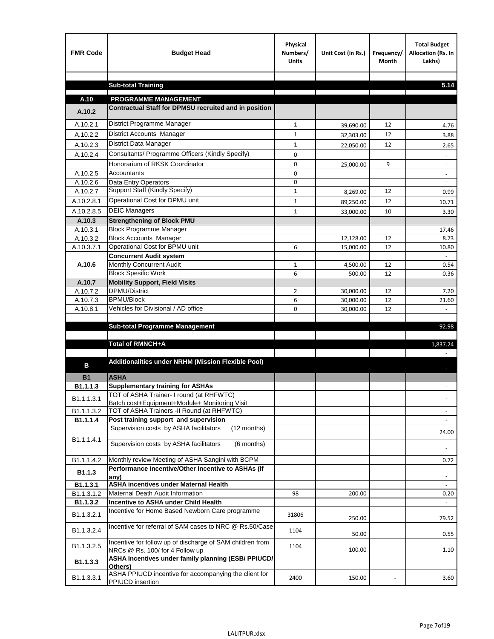| <b>FMR Code</b>        | <b>Budget Head</b>                                                                           | Physical<br>Numbers/<br><b>Units</b> | Unit Cost (in Rs.) | Frequency/<br>Month | <b>Total Budget</b><br>Allocation (Rs. In<br>Lakhs) |
|------------------------|----------------------------------------------------------------------------------------------|--------------------------------------|--------------------|---------------------|-----------------------------------------------------|
|                        |                                                                                              |                                      |                    |                     |                                                     |
|                        | <b>Sub-total Training</b>                                                                    |                                      |                    |                     | 5.14                                                |
| A.10                   | <b>PROGRAMME MANAGEMENT</b>                                                                  |                                      |                    |                     |                                                     |
| A.10.2                 | Contractual Staff for DPMSU recruited and in position                                        |                                      |                    |                     |                                                     |
| A.10.2.1               | District Programme Manager                                                                   | $\mathbf{1}$                         |                    | 12                  |                                                     |
| A.10.2.2               | <b>District Accounts Manager</b>                                                             | $\mathbf{1}$                         | 39,690.00          | 12                  | 4.76<br>3.88                                        |
| A.10.2.3               | District Data Manager                                                                        | $\mathbf{1}$                         | 32,303.00          | 12                  |                                                     |
| A.10.2.4               | Consultants/ Programme Officers (Kindly Specify)                                             | $\mathbf 0$                          | 22,050.00          |                     | 2.65                                                |
|                        | Honorarium of RKSK Coordinator                                                               | 0                                    | 25,000.00          | 9                   | $\overline{\phantom{a}}$                            |
| A.10.2.5               | Accountants                                                                                  | 0                                    |                    |                     |                                                     |
| A.10.2.6               | Data Entry Operators                                                                         | 0                                    |                    |                     | $\overline{\phantom{a}}$                            |
| A.10.2.7               | Support Staff (Kindly Specify)                                                               | $\mathbf{1}$                         | 8,269.00           | 12                  | 0.99                                                |
| A.10.2.8.1             | Operational Cost for DPMU unit                                                               | $\mathbf{1}$                         | 89,250.00          | 12                  | 10.71                                               |
| A.10.2.8.5             | <b>DEIC Managers</b>                                                                         | $\mathbf{1}$                         | 33,000.00          | 10                  | 3.30                                                |
| A.10.3                 | <b>Strengthening of Block PMU</b>                                                            |                                      |                    |                     |                                                     |
| A.10.3.1               | <b>Block Programme Manager</b>                                                               |                                      |                    |                     | 17.46                                               |
| A.10.3.2               | <b>Block Accounts Manager</b>                                                                |                                      | 12,128.00          | 12                  | 8.73                                                |
| A.10.3.7.1             | Operational Cost for BPMU unit                                                               | 6                                    | 15,000.00          | 12                  | 10.80                                               |
|                        | <b>Concurrent Audit system</b>                                                               |                                      |                    |                     |                                                     |
| A.10.6                 | Monthly Concurrent Audit<br><b>Block Spesific Work</b>                                       | $\mathbf{1}$<br>6                    | 4,500.00           | 12                  | 0.54                                                |
| A.10.7                 | <b>Mobility Support, Field Visits</b>                                                        |                                      | 500.00             | 12                  | 0.36                                                |
| A.10.7.2               | DPMU/District                                                                                | 2                                    | 30,000.00          | 12                  | 7.20                                                |
| A.10.7.3               | <b>BPMU/Block</b>                                                                            | 6                                    | 30,000.00          | 12                  | 21.60                                               |
| A.10.8.1               | Vehicles for Divisional / AD office                                                          | 0                                    | 30,000.00          | 12                  | $\mathcal{L}$                                       |
|                        |                                                                                              |                                      |                    |                     |                                                     |
|                        | <b>Sub-total Programme Management</b>                                                        |                                      |                    |                     | 92.98                                               |
|                        |                                                                                              |                                      |                    |                     |                                                     |
|                        | Total of RMNCH+A                                                                             |                                      |                    |                     | 1,837.24                                            |
| в                      | Additionalities under NRHM (Mission Flexible Pool)                                           |                                      |                    |                     |                                                     |
| <b>B1</b>              | <b>ASHA</b>                                                                                  |                                      |                    |                     |                                                     |
| B1.1.1.3               | <b>Supplementary training for ASHAs</b>                                                      |                                      |                    |                     |                                                     |
| B1.1.1.3.1             | TOT of ASHA Trainer- I round (at RHFWTC)                                                     |                                      |                    |                     |                                                     |
|                        | Batch cost+Equipment+Module+ Monitoring Visit                                                |                                      |                    |                     |                                                     |
| B1.1.1.3.2<br>B1.1.1.4 | TOT of ASHA Trainers -II Round (at RHFWTC)<br>Post training support and supervision          |                                      |                    |                     |                                                     |
|                        | Supervision costs by ASHA facilitators<br>(12 months)                                        |                                      |                    |                     | $\sim$                                              |
| B1.1.1.4.1             |                                                                                              |                                      |                    |                     | 24.00                                               |
|                        | Supervision costs by ASHA facilitators<br>(6 months)                                         |                                      |                    |                     |                                                     |
| B1.1.1.4.2             | Monthly review Meeting of ASHA Sangini with BCPM                                             |                                      |                    |                     | 0.72                                                |
| B <sub>1.1.3</sub>     | Performance Incentive/Other Incentive to ASHAs (if                                           |                                      |                    |                     |                                                     |
| B1.1.3.1               | any)<br><b>ASHA incentives under Maternal Health</b>                                         |                                      |                    |                     |                                                     |
| B1.1.3.1.2             | Maternal Death Audit Information                                                             | 98                                   | 200.00             |                     | 0.20                                                |
| B1.1.3.2               | Incentive to ASHA under Child Health                                                         |                                      |                    |                     | $\omega$ .                                          |
| B1.1.3.2.1             | Incentive for Home Based Newborn Care programme                                              | 31806                                | 250.00             |                     | 79.52                                               |
| B1.1.3.2.4             | Incentive for referral of SAM cases to NRC @ Rs.50/Case                                      | 1104                                 | 50.00              |                     | 0.55                                                |
| B1.1.3.2.5             | Incentive for follow up of discharge of SAM children from<br>NRCs @ Rs. 100/ for 4 Follow up | 1104                                 | 100.00             |                     | 1.10                                                |
| B1.1.3.3               | ASHA Incentives under family planning (ESB/ PPIUCD/<br>Others)                               |                                      |                    |                     |                                                     |
| B1.1.3.3.1             | ASHA PPIUCD incentive for accompanying the client for<br>PPIUCD insertion                    | 2400                                 | 150.00             |                     | 3.60                                                |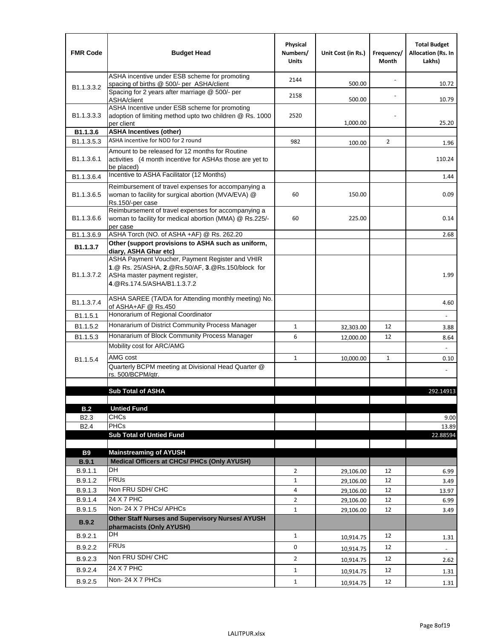| <b>FMR Code</b>            | <b>Budget Head</b>                                                                                                                                                    | Physical<br>Numbers/<br><b>Units</b> | Unit Cost (in Rs.) | Frequency/<br>Month | <b>Total Budget</b><br><b>Allocation (Rs. In</b><br>Lakhs) |
|----------------------------|-----------------------------------------------------------------------------------------------------------------------------------------------------------------------|--------------------------------------|--------------------|---------------------|------------------------------------------------------------|
|                            | ASHA incentive under ESB scheme for promoting<br>spacing of births @ 500/- per ASHA/client                                                                            | 2144                                 | 500.00             |                     | 10.72                                                      |
| B <sub>1.1</sub> , 3, 3, 2 | Spacing for 2 years after marriage @ 500/- per<br>ASHA/client                                                                                                         | 2158                                 | 500.00             |                     | 10.79                                                      |
| B1.1.3.3.3                 | ASHA Incentive under ESB scheme for promoting<br>adoption of limiting method upto two children @ Rs. 1000<br>per client                                               | 2520                                 | 1,000.00           |                     | 25.20                                                      |
| B1.1.3.6                   | <b>ASHA Incentives (other)</b>                                                                                                                                        |                                      |                    |                     |                                                            |
| B <sub>1.1</sub> , 3, 5, 3 | ASHA incentive for NDD for 2 round                                                                                                                                    | 982                                  | 100.00             | $\overline{2}$      | 1.96                                                       |
| B <sub>1.1</sub> .3.6.1    | Amount to be released for 12 months for Routine<br>activities (4 month incentive for ASHAs those are yet to<br>be placed)                                             |                                      |                    |                     | 110.24                                                     |
| B1.1.3.6.4                 | Incentive to ASHA Facilitator (12 Months)                                                                                                                             |                                      |                    |                     | 1.44                                                       |
| B <sub>1.1</sub> .3.6.5    | Reimbursement of travel expenses for accompanying a<br>woman to facility for surgical abortion (MVA/EVA) @<br>Rs.150/-per case                                        | 60                                   | 150.00             |                     | 0.09                                                       |
| B <sub>1.1</sub> .3.6.6    | Reimbursement of travel expenses for accompanying a<br>woman to facility for medical abortion (MMA) @ Rs.225/-<br>per case                                            | 60                                   | 225.00             |                     | 0.14                                                       |
| B1.1.3.6.9                 | ASHA Torch (NO. of ASHA +AF) @ Rs. 262.20                                                                                                                             |                                      |                    |                     | 2.68                                                       |
| B1.1.3.7                   | Other (support provisions to ASHA such as uniform,<br>diary, ASHA Ghar etc)                                                                                           |                                      |                    |                     |                                                            |
| B <sub>1.1</sub> .3.7.2    | ASHA Payment Voucher, Payment Register and VHIR<br>1.@ Rs. 25/ASHA, 2.@Rs.50/AF, 3.@Rs.150/block for<br>ASHa master payment register,<br>4. @Rs.174.5/ASHA/B1.1.3.7.2 |                                      |                    |                     | 1.99                                                       |
| B <sub>1.1</sub> , 3, 7, 4 | ASHA SAREE (TA/DA for Attending monthly meeting) No.<br>of ASHA+AF @ Rs.450                                                                                           |                                      |                    |                     | 4.60                                                       |
| B <sub>1.1</sub> .5.1      | Honorarium of Regional Coordinator                                                                                                                                    |                                      |                    |                     |                                                            |
| B1.1.5.2                   | Honararium of District Community Process Manager                                                                                                                      | $\mathbf{1}$                         | 32,303.00          | 12                  | 3.88                                                       |
| B1.1.5.3                   | Honararium of Block Community Process Manager                                                                                                                         | 6                                    | 12,000.00          | 12                  | 8.64                                                       |
|                            | Mobility cost for ARC/AMG                                                                                                                                             |                                      |                    |                     |                                                            |
| B <sub>1.1.5.4</sub>       | AMG cost                                                                                                                                                              | $\mathbf{1}$                         | 10,000.00          | $\mathbf{1}$        | 0.10                                                       |
|                            | Quarterly BCPM meeting at Divisional Head Quarter @                                                                                                                   |                                      |                    |                     |                                                            |
|                            | rs. 500/BCPM/qtr.                                                                                                                                                     |                                      |                    |                     |                                                            |
|                            | <b>Sub Total of ASHA</b>                                                                                                                                              |                                      |                    |                     | 292.14913                                                  |
|                            |                                                                                                                                                                       |                                      |                    |                     |                                                            |
| B.2                        | <b>Untied Fund</b>                                                                                                                                                    |                                      |                    |                     |                                                            |
| B <sub>2.3</sub>           | <b>CHCs</b>                                                                                                                                                           |                                      |                    |                     | 9.00                                                       |
| B <sub>2.4</sub>           | PHCs<br><b>Sub Total of Untied Fund</b>                                                                                                                               |                                      |                    |                     | 13.89<br>22.88594                                          |
|                            |                                                                                                                                                                       |                                      |                    |                     |                                                            |
| <b>B9</b>                  | <b>Mainstreaming of AYUSH</b>                                                                                                                                         |                                      |                    |                     |                                                            |
| B.9.1                      | Medical Officers at CHCs/ PHCs (Only AYUSH)                                                                                                                           |                                      |                    |                     |                                                            |
| B.9.1.1                    | <b>DH</b>                                                                                                                                                             | $\overline{2}$                       | 29,106.00          | 12                  | 6.99                                                       |
| B.9.1.2                    | <b>FRUs</b>                                                                                                                                                           | $\mathbf{1}$                         | 29,106.00          | 12                  | 3.49                                                       |
| B.9.1.3                    | Non FRU SDH/ CHC<br>24 X 7 PHC                                                                                                                                        | 4                                    | 29,106.00          | 12                  | 13.97                                                      |
| B.9.1.4<br>B.9.1.5         | Non-24 X 7 PHCs/ APHCs                                                                                                                                                | $\overline{2}$<br>$\mathbf{1}$       | 29,106.00          | 12<br>12            | 6.99                                                       |
| B.9.2                      | Other Staff Nurses and Supervisory Nurses/ AYUSH                                                                                                                      |                                      | 29,106.00          |                     | 3.49                                                       |
| B.9.2.1                    | pharmacists (Only AYUSH)<br>DH                                                                                                                                        | $\mathbf{1}$                         |                    | 12                  |                                                            |
|                            | <b>FRUs</b>                                                                                                                                                           |                                      | 10,914.75          |                     | 1.31                                                       |
| B.9.2.2                    | Non FRU SDH/ CHC                                                                                                                                                      | 0                                    | 10,914.75          | 12                  | $\overline{\phantom{a}}$                                   |
| B.9.2.3                    | 24 X 7 PHC                                                                                                                                                            | $\overline{2}$                       | 10,914.75          | 12                  | 2.62                                                       |
| B.9.2.4                    |                                                                                                                                                                       | $\mathbf{1}$                         | 10,914.75          | 12                  | 1.31                                                       |
| B.9.2.5                    | Non-24 X 7 PHCs                                                                                                                                                       | $\mathbf{1}$                         | 10,914.75          | 12                  | 1.31                                                       |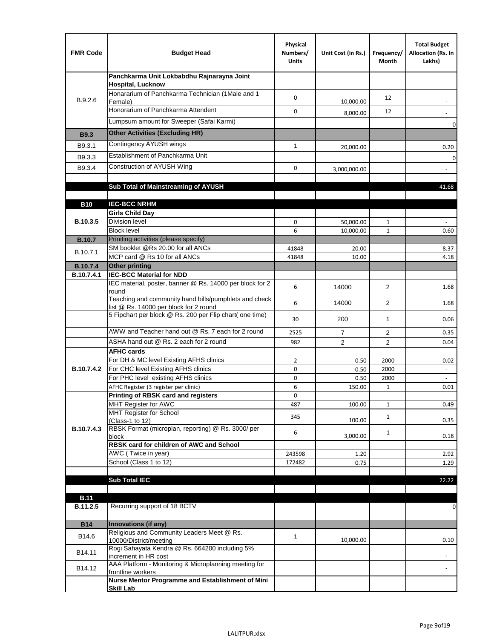| <b>FMR Code</b>               | <b>Budget Head</b>                                                                              | Physical<br>Numbers/<br><b>Units</b> | Unit Cost (in Rs.) | Frequency/<br>Month | <b>Total Budget</b><br>Allocation (Rs. In<br>Lakhs) |
|-------------------------------|-------------------------------------------------------------------------------------------------|--------------------------------------|--------------------|---------------------|-----------------------------------------------------|
|                               | Panchkarma Unit Lokbabdhu Rajnarayna Joint<br><b>Hospital, Lucknow</b>                          |                                      |                    |                     |                                                     |
| B.9.2.6                       | Honararium of Panchkarma Technician (1Male and 1<br>Female)                                     | 0                                    | 10,000.00          | 12                  |                                                     |
|                               | Honorarium of Panchkarma Attendent                                                              | 0                                    | 8,000.00           | 12                  |                                                     |
|                               | Lumpsum amount for Sweeper (Safai Karmi)                                                        |                                      |                    |                     | 0                                                   |
| <b>B9.3</b>                   | <b>Other Activities (Excluding HR)</b>                                                          |                                      |                    |                     |                                                     |
| B9.3.1                        | Contingency AYUSH wings                                                                         | $\mathbf{1}$                         | 20,000.00          |                     | 0.20                                                |
| B9.3.3                        | Establishment of Panchkarma Unit                                                                |                                      |                    |                     | $\mathbf 0$                                         |
| B9.3.4                        | Construction of AYUSH Wing                                                                      | 0                                    | 3,000,000.00       |                     |                                                     |
|                               |                                                                                                 |                                      |                    |                     |                                                     |
|                               | Sub Total of Mainstreaming of AYUSH                                                             |                                      |                    |                     | 41.68                                               |
|                               |                                                                                                 |                                      |                    |                     |                                                     |
| <b>B10</b>                    | <b>IEC-BCC NRHM</b>                                                                             |                                      |                    |                     |                                                     |
| B.10.3.5                      | <b>Girls Child Day</b><br><b>Division level</b>                                                 | 0                                    | 50,000.00          | 1                   |                                                     |
|                               | <b>Block level</b>                                                                              | 6                                    | 10,000.00          | $\mathbf{1}$        | 0.60                                                |
| <b>B.10.7</b>                 | Priniting activities (please specify)                                                           |                                      |                    |                     |                                                     |
| B.10.7.1                      | SM booklet @Rs 20.00 for all ANCs                                                               | 41848                                | 20.00              |                     | 8.37                                                |
|                               | MCP card @ Rs 10 for all ANCs                                                                   | 41848                                | 10.00              |                     | 4.18                                                |
| <b>B.10.7.4</b><br>B.10.7.4.1 | <b>Other printing</b><br><b>IEC-BCC Material for NDD</b>                                        |                                      |                    |                     |                                                     |
|                               | IEC material, poster, banner @ Rs. 14000 per block for 2<br>round                               | 6                                    | 14000              | $\overline{2}$      | 1.68                                                |
|                               | Teaching and community hand bills/pumphlets and check<br>list @ Rs. 14000 per block for 2 round | 6                                    | 14000              | 2                   | 1.68                                                |
|                               | 5 Fipchart per block @ Rs. 200 per Flip chart( one time)                                        | 30                                   | 200                | $\mathbf{1}$        | 0.06                                                |
|                               | AWW and Teacher hand out @ Rs. 7 each for 2 round                                               | 2525                                 | $\overline{7}$     | 2                   | 0.35                                                |
|                               | ASHA hand out @ Rs. 2 each for 2 round                                                          | 982                                  | $\overline{2}$     | 2                   | 0.04                                                |
|                               | <b>AFHC cards</b>                                                                               |                                      |                    |                     |                                                     |
| <b>B.10.7.4.2</b>             | For DH & MC level Existing AFHS clinics<br>For CHC level Existing AFHS clinics                  | $\overline{2}$<br>0                  | 0.50               | 2000<br>2000        | 0.02                                                |
|                               | For PHC level existing AFHS clinics                                                             | 0                                    | 0.50<br>0.50       | 2000                | $\overline{\phantom{a}}$<br>$\bar{\phantom{a}}$     |
|                               | AFHC Register (3 register per clinic)                                                           | 6                                    | 150.00             | $\mathbf{1}$        | 0.01                                                |
|                               | Printing of RBSK card and registers                                                             | 0                                    |                    |                     |                                                     |
|                               | MHT Register for AWC                                                                            | 487                                  | 100.00             | $\mathbf{1}$        | 0.49                                                |
|                               | MHT Register for School<br>(Class-1 to 12)                                                      | 345                                  | 100.00             | $\mathbf{1}$        | 0.35                                                |
| B.10.7.4.3                    | RBSK Format (microplan, reporting) @ Rs. 3000/ per<br>block                                     | 6                                    | 3,000.00           | $\mathbf{1}$        | 0.18                                                |
|                               | RBSK card for children of AWC and School                                                        |                                      |                    |                     |                                                     |
|                               | AWC (Twice in year)                                                                             | 243598                               | 1.20               |                     | 2.92                                                |
|                               | School (Class 1 to 12)                                                                          | 172482                               | 0.75               |                     | 1.29                                                |
|                               | <b>Sub Total IEC</b>                                                                            |                                      |                    |                     | 22.22                                               |
|                               |                                                                                                 |                                      |                    |                     |                                                     |
| <b>B.11</b>                   |                                                                                                 |                                      |                    |                     |                                                     |
| B.11.2.5                      | Recurring support of 18 BCTV                                                                    |                                      |                    |                     | 0                                                   |
|                               |                                                                                                 |                                      |                    |                     |                                                     |
| <b>B14</b>                    | Innovations (if any)<br>Religious and Community Leaders Meet @ Rs.                              |                                      |                    |                     |                                                     |
| B14.6                         | 10000/District/meeting<br>Rogi Sahayata Kendra @ Rs. 664200 including 5%                        | $\mathbf{1}$                         | 10,000.00          |                     | 0.10                                                |
| B14.11                        | increment in HR cost                                                                            |                                      |                    |                     |                                                     |
| B14.12                        | AAA Platform - Monitoring & Microplanning meeting for<br>frontline workers                      |                                      |                    |                     |                                                     |
|                               | Nurse Mentor Programme and Establishment of Mini                                                |                                      |                    |                     |                                                     |
|                               | <b>Skill Lab</b>                                                                                |                                      |                    |                     |                                                     |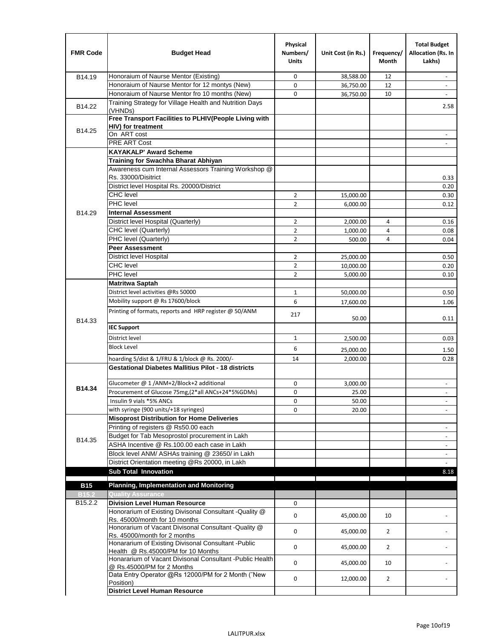| <b>FMR Code</b>   | <b>Budget Head</b>                                                                              | Physical<br>Numbers/<br><b>Units</b> | Unit Cost (in Rs.) | Frequency/<br><b>Month</b> | <b>Total Budget</b><br>Allocation (Rs. In<br>Lakhs) |
|-------------------|-------------------------------------------------------------------------------------------------|--------------------------------------|--------------------|----------------------------|-----------------------------------------------------|
| B14.19            | Honoraium of Naurse Mentor (Existing)                                                           | 0                                    | 38,588.00          | 12                         | $\sim$                                              |
|                   | Honoraium of Naurse Mentor for 12 montys (New)                                                  | 0                                    | 36,750.00          | 12                         |                                                     |
|                   | Honoraium of Naurse Mentor fro 10 months (New)                                                  | 0                                    | 36,750.00          | 10                         | $\sim$                                              |
| B14.22            | Training Strategy for Village Health and Nutrition Days<br>(VHNDs)                              |                                      |                    |                            | 2.58                                                |
|                   | Free Transport Facilities to PLHIV(People Living with                                           |                                      |                    |                            |                                                     |
| B14.25            | <b>HIV)</b> for treatment                                                                       |                                      |                    |                            |                                                     |
|                   | On ART cost                                                                                     |                                      |                    |                            |                                                     |
|                   | PRE ART Cost                                                                                    |                                      |                    |                            |                                                     |
|                   | <b>KAYAKALP' Award Scheme</b>                                                                   |                                      |                    |                            |                                                     |
|                   | Training for Swachha Bharat Abhiyan                                                             |                                      |                    |                            |                                                     |
|                   | Awareness cum Internal Assessors Training Workshop @<br>Rs. 33000/Disitrict                     |                                      |                    |                            |                                                     |
|                   | District level Hospital Rs. 20000/District                                                      |                                      |                    |                            | 0.33<br>0.20                                        |
|                   | <b>CHC</b> level                                                                                | $\overline{2}$                       | 15,000.00          |                            | 0.30                                                |
|                   | <b>PHC</b> level                                                                                | $\overline{2}$                       | 6,000.00           |                            | 0.12                                                |
| B14.29            | <b>Internal Assessment</b>                                                                      |                                      |                    |                            |                                                     |
|                   | District level Hospital (Quarterly)                                                             | $\overline{2}$                       | 2,000.00           | 4                          | 0.16                                                |
|                   | CHC level (Quarterly)                                                                           | $\overline{2}$                       | 1,000.00           | 4                          | 0.08                                                |
|                   | PHC level (Quarterly)                                                                           | $\overline{2}$                       | 500.00             | 4                          | 0.04                                                |
|                   | <b>Peer Assessment</b>                                                                          |                                      |                    |                            |                                                     |
|                   | <b>District level Hospital</b>                                                                  | $\overline{2}$                       | 25.000.00          |                            | 0.50                                                |
|                   | <b>CHC</b> level                                                                                | $\overline{2}$                       | 10,000.00          |                            | 0.20                                                |
|                   | PHC level                                                                                       | $\overline{2}$                       | 5,000.00           |                            | 0.10                                                |
|                   | Matritwa Saptah                                                                                 |                                      |                    |                            |                                                     |
|                   | District level activities @Rs 50000                                                             | $\mathbf{1}$                         | 50,000.00          |                            | 0.50                                                |
|                   | Mobility support @ Rs 17600/block                                                               | 6                                    |                    |                            |                                                     |
|                   | Printing of formats, reports and HRP register @ 50/ANM                                          |                                      | 17,600.00          |                            | 1.06                                                |
| B14.33            |                                                                                                 | 217                                  | 50.00              |                            | 0.11                                                |
|                   | <b>IEC Support</b>                                                                              |                                      |                    |                            |                                                     |
|                   | District level                                                                                  | $\mathbf{1}$                         | 2,500.00           |                            | 0.03                                                |
|                   | <b>Block Level</b>                                                                              | 6                                    | 25,000.00          |                            | 1.50                                                |
|                   | hoarding 5/dist & 1/FRU & 1/block @ Rs. 2000/-                                                  | 14                                   | 2,000.00           |                            | 0.28                                                |
|                   | <b>Gestational Diabetes Mallitius Pilot - 18 districts</b>                                      |                                      |                    |                            |                                                     |
|                   | Glucometer @ 1 /ANM+2/Block+2 additional                                                        | 0                                    | 3,000.00           |                            | $\overline{\phantom{a}}$                            |
| B14.34            | Procurement of Glucose 75mg, (2*all ANCs+24*5%GDMs)                                             | 0                                    | 25.00              |                            |                                                     |
|                   | Insulin 9 vials *5% ANCs                                                                        | 0                                    | 50.00              |                            | $\blacksquare$                                      |
|                   | with syringe (900 units/+18 syringes)                                                           | 0                                    | 20.00              |                            |                                                     |
|                   | <b>Misoprost Distribution for Home Deliveries</b>                                               |                                      |                    |                            |                                                     |
|                   | Printing of registers @ Rs50.00 each                                                            |                                      |                    |                            | $\overline{\phantom{a}}$                            |
| B14.35            | Budget for Tab Mesoprostol procurement in Lakh                                                  |                                      |                    |                            | $\blacksquare$                                      |
|                   | ASHA Incentive @ Rs.100.00 each case in Lakh                                                    |                                      |                    |                            | $\overline{\phantom{a}}$                            |
|                   | Block level ANM/ ASHAs training @ 23650/ in Lakh                                                |                                      |                    |                            | $\overline{\phantom{a}}$                            |
|                   | District Orientation meeting @Rs 20000, in Lakh                                                 |                                      |                    |                            |                                                     |
|                   | <b>Sub Total Innovation</b>                                                                     |                                      |                    |                            | 8.18                                                |
| <b>B15</b>        | <b>Planning, Implementation and Monitoring</b>                                                  |                                      |                    |                            |                                                     |
| B <sub>15.2</sub> | <b>Quality Assurance</b>                                                                        |                                      |                    |                            |                                                     |
| B15.2.2           | <b>Division Level Human Resource</b>                                                            | 0                                    |                    |                            |                                                     |
|                   | Honorarium of Existing Divisonal Consultant -Quality @                                          |                                      |                    |                            |                                                     |
|                   | Rs. 45000/month for 10 months                                                                   | 0                                    | 45,000.00          | 10                         |                                                     |
|                   | Honorarium of Vacant Divisonal Consultant -Quality @<br>Rs. 45000/month for 2 months            | 0                                    | 45,000.00          | $\overline{2}$             |                                                     |
|                   | Honararium of Existing Divisonal Consultant - Public                                            | 0                                    | 45,000.00          | $\overline{2}$             |                                                     |
|                   | Health @ Rs.45000/PM for 10 Months<br>Honararium of Vacant Divisonal Consultant - Public Health |                                      |                    |                            |                                                     |
|                   | @ Rs.45000/PM for 2 Months<br>Data Entry Operator @Rs 12000/PM for 2 Month ("New                | 0                                    | 45,000.00          | 10                         |                                                     |
|                   | Position)                                                                                       | 0                                    | 12,000.00          | $\overline{2}$             |                                                     |
|                   | <b>District Level Human Resource</b>                                                            |                                      |                    |                            |                                                     |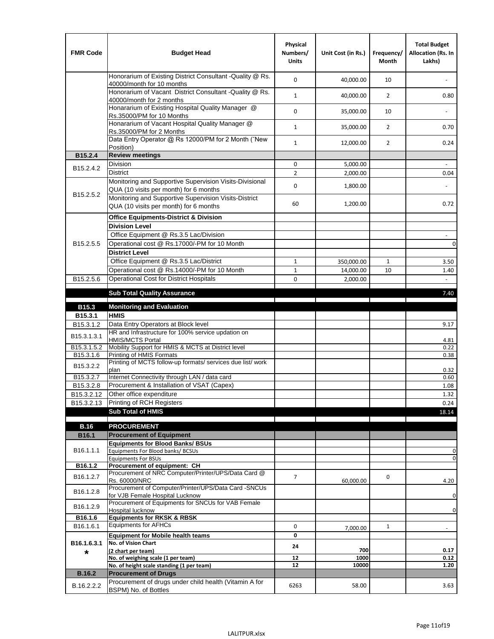| <b>FMR Code</b>         | <b>Budget Head</b>                                                                                | Physical<br>Numbers/<br><b>Units</b> | Unit Cost (in Rs.) | Frequency/<br><b>Month</b> | <b>Total Budget</b><br>Allocation (Rs. In<br>Lakhs) |
|-------------------------|---------------------------------------------------------------------------------------------------|--------------------------------------|--------------------|----------------------------|-----------------------------------------------------|
|                         | Honorarium of Existing District Consultant -Quality @ Rs.<br>40000/month for 10 months            | $\mathbf 0$                          | 40,000.00          | 10                         |                                                     |
|                         | Honorarium of Vacant District Consultant -Quality @ Rs.<br>40000/month for 2 months               | $\mathbf{1}$                         | 40,000.00          | $\overline{2}$             | 0.80                                                |
|                         | Honararium of Existing Hospital Quality Manager @<br>Rs.35000/PM for 10 Months                    | 0                                    | 35,000.00          | 10                         |                                                     |
|                         | Honararium of Vacant Hospital Quality Manager @<br>Rs.35000/PM for 2 Months                       | $\mathbf{1}$                         | 35,000.00          | $\overline{2}$             | 0.70                                                |
|                         | Data Entry Operator @ Rs 12000/PM for 2 Month ("New<br>Position)                                  | $\mathbf{1}$                         | 12,000.00          | $\overline{2}$             | 0.24                                                |
| B15.2.4                 | <b>Review meetings</b>                                                                            |                                      |                    |                            |                                                     |
| B <sub>15.2</sub> .4.2  | Division                                                                                          | 0                                    | 5,000.00           |                            |                                                     |
|                         | <b>District</b>                                                                                   | $\overline{2}$                       | 2,000.00           |                            | 0.04                                                |
|                         | Monitoring and Supportive Supervision Visits-Divisional<br>QUA (10 visits per month) for 6 months | $\mathbf 0$                          | 1,800.00           |                            |                                                     |
| B15.2.5.2               | Monitoring and Supportive Supervision Visits-District<br>QUA (10 visits per month) for 6 months   | 60                                   | 1,200.00           |                            | 0.72                                                |
|                         | <b>Office Equipments-District &amp; Division</b>                                                  |                                      |                    |                            |                                                     |
|                         | <b>Division Level</b>                                                                             |                                      |                    |                            |                                                     |
|                         | Office Equipment @ Rs.3.5 Lac/Division                                                            |                                      |                    |                            | $\overline{\phantom{a}}$                            |
| B15.2.5.5               | Operational cost @ Rs.17000/-PM for 10 Month                                                      |                                      |                    |                            | $\pmb{0}$                                           |
|                         | <b>District Level</b>                                                                             |                                      |                    |                            |                                                     |
|                         | Office Equipment @ Rs.3.5 Lac/District                                                            | $\mathbf{1}$                         | 350,000.00         | 1                          | 3.50                                                |
|                         | Operational cost @ Rs.14000/-PM for 10 Month                                                      | $1\,$                                | 14,000.00          | 10                         | 1.40                                                |
| B15.2.5.6               | Operational Cost for District Hospitals                                                           | 0                                    | 2,000.00           |                            | $\mathbb{Z}^{\mathbb{Z}}$                           |
|                         | <b>Sub Total Quality Assurance</b>                                                                |                                      |                    |                            | 7.40                                                |
|                         |                                                                                                   |                                      |                    |                            |                                                     |
| B15.3<br>B15.3.1        | <b>Monitoring and Evaluation</b><br><b>HMIS</b>                                                   |                                      |                    |                            |                                                     |
| B15.3.1.2               | Data Entry Operators at Block level                                                               |                                      |                    |                            | 9.17                                                |
| B15.3.1.3.1             | HR and Infrastructure for 100% service updation on<br><b>HMIS/MCTS Portal</b>                     |                                      |                    |                            | 4.81                                                |
| B <sub>15.3.1.5.2</sub> | Mobility Support for HMIS & MCTS at District level                                                |                                      |                    |                            | 0.22                                                |
| B15.3.1.6               | Printing of HMIS Formats                                                                          |                                      |                    |                            | 0.38                                                |
| B15.3.2.2               | Printing of MCTS follow-up formats/ services due list/ work<br>plan                               |                                      |                    |                            | 0.32                                                |
| B15.3.2.7               | Internet Connectivity through LAN / data card                                                     |                                      |                    |                            | 0.60                                                |
| B15.3.2.8               | Procurement & Installation of VSAT (Capex)                                                        |                                      |                    |                            | 1.08                                                |
| B15.3.2.12              | Other office expenditure                                                                          |                                      |                    |                            | 1.32                                                |
| B15.3.2.13              | Printing of RCH Registers                                                                         |                                      |                    |                            | 0.24                                                |
|                         | <b>Sub Total of HMIS</b>                                                                          |                                      |                    |                            | 18.14                                               |
| <b>B.16</b>             | <b>PROCUREMENT</b>                                                                                |                                      |                    |                            |                                                     |
| B16.1                   | <b>Procurement of Equipment</b>                                                                   |                                      |                    |                            |                                                     |
|                         | <b>Equipments for Blood Banks/ BSUs</b>                                                           |                                      |                    |                            |                                                     |
| B16.1.1.1               | Equipments For Blood banks/ BCSUs                                                                 |                                      |                    |                            | 0                                                   |
| B16.1.2                 | <b>Equipments For BSUs</b><br>Procurement of equipment: CH                                        |                                      |                    |                            | 0                                                   |
|                         | Procurement of NRC Computer/Printer/UPS/Data Card @                                               |                                      |                    |                            |                                                     |
| B16.1.2.7               | Rs. 60000/NRC                                                                                     | $\overline{7}$                       | 60,000.00          | 0                          | 4.20                                                |
| B16.1.2.8               | Procurement of Computer/Printer/UPS/Data Card -SNCUs                                              |                                      |                    |                            |                                                     |
|                         | for VJB Female Hospital Lucknow<br>Procurement of Equipments for SNCUs for VAB Female             |                                      |                    |                            | 0                                                   |
| B16.1.2.9               | Hospital lucknow                                                                                  |                                      |                    |                            | 0                                                   |
| B16.1.6                 | <b>Equipments for RKSK &amp; RBSK</b>                                                             |                                      |                    |                            |                                                     |
| B16.1.6.1               | <b>Equipments for AFHCs</b>                                                                       | 0                                    | 7,000.00           | $\mathbf{1}$               | ÷,                                                  |
|                         | <b>Equipment for Mobile health teams</b>                                                          | 0                                    |                    |                            |                                                     |
| B16.1.6.3.1             | No. of Vision Chart<br>(2 chart per team)                                                         | 24                                   | 700                |                            | 0.17                                                |
| *                       | No. of weighing scale (1 per team)                                                                | 12                                   | 1000               |                            | 0.12                                                |
|                         | No. of height scale standing (1 per team)                                                         | 12                                   | 10000              |                            | 1.20                                                |
| <b>B.16.2</b>           | <b>Procurement of Drugs</b>                                                                       |                                      |                    |                            |                                                     |
| B.16.2.2.2              | Procurement of drugs under child health (Vitamin A for                                            | 6263                                 | 58.00              |                            | 3.63                                                |
|                         | BSPM) No. of Bottles                                                                              |                                      |                    |                            |                                                     |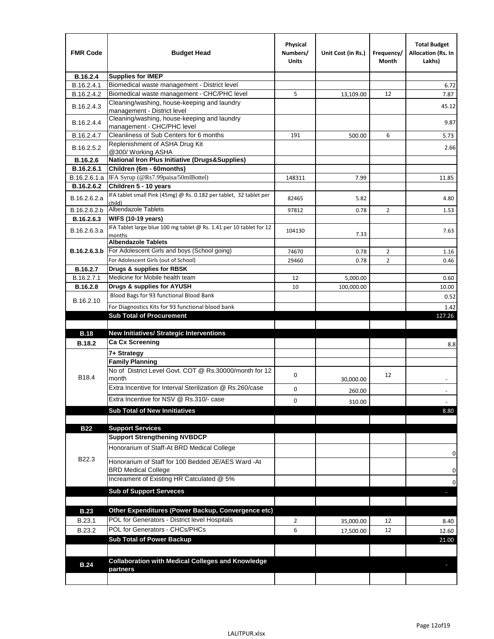| <b>FMR Code</b>               | <b>Budget Head</b>                                                            | Physical<br>Numbers/<br><b>Units</b> | Unit Cost (in Rs.) | Frequency/<br>Month | <b>Total Budget</b><br><b>Allocation (Rs. In</b><br>Lakhs) |
|-------------------------------|-------------------------------------------------------------------------------|--------------------------------------|--------------------|---------------------|------------------------------------------------------------|
| B.16.2.4                      | <b>Supplies for IMEP</b>                                                      |                                      |                    |                     |                                                            |
| B.16.2.4.1                    | Biomedical waste management - District level                                  |                                      |                    |                     | 6.72                                                       |
| B.16.2.4.2                    | Biomedical waste management - CHC/PHC level                                   | 5                                    | 13,109.00          | 12                  | 7.87                                                       |
| B.16.2.4.3                    | Cleaning/washing, house-keeping and laundry<br>management - District level    |                                      |                    |                     | 45.12                                                      |
| B.16.2.4.4                    | Cleaning/washing, house-keeping and laundry<br>management - CHC/PHC level     |                                      |                    |                     | 9.87                                                       |
| B.16.2.4.7                    | Cleanliness of Sub Centers for 6 months                                       | 191                                  | 500.00             | 6                   | 5.73                                                       |
| B.16.2.5.2                    | Replenishment of ASHA Drug Kit<br>@300/ Working ASHA                          |                                      |                    |                     | 2.66                                                       |
| B.16.2.6                      | <b>National Iron Plus Initiative (Drugs&amp;Supplies)</b>                     |                                      |                    |                     |                                                            |
| B.16.2.6.1                    | Children (6m - 60months)                                                      |                                      |                    |                     |                                                            |
| B.16.2.6.1.a                  | IFA Syrup (@Rs7.99paisa/50mlBottel)                                           | 148311                               | 7.99               |                     | 11.85                                                      |
| B.16.2.6.2                    | Children 5 - 10 years                                                         |                                      |                    |                     |                                                            |
| B.16.2.6.2.a                  | IFA tablet small Pink (45mg) @ Rs. 0.182 per tablet, 32 tablet per<br>child)  | 82465                                | 5.82               |                     | 4.80                                                       |
| B.16.2.6.2.b                  | <b>Albendazole Tablets</b>                                                    | 97812                                | 0.78               | 2                   | 1.53                                                       |
| B.16.2.6.3                    | <b>WIFS (10-19 years)</b>                                                     |                                      |                    |                     |                                                            |
| B.16.2.6.3.a                  | IFA Tablet large blue 100 mg tablet @ Rs. 1.41 per 10 tablet for 12<br>months | 104130                               | 7.33               |                     | 7.63                                                       |
|                               | <b>Albendazole Tablets</b>                                                    |                                      |                    |                     |                                                            |
| B.16.2.6.3.b                  | For Adolescent Girls and boys (School going)                                  | 74670                                | 0.78               | $\overline{2}$      | 1.16                                                       |
|                               | For Adolescent Girls (out of School)                                          | 29460                                | 0.78               | $\overline{2}$      | 0.46                                                       |
| B.16.2.7                      | Drugs & supplies for RBSK<br>Medicine for Mobile health team                  |                                      |                    |                     |                                                            |
| B.16.2.7.1<br><b>B.16.2.8</b> | Drugs & supplies for AYUSH                                                    | 12<br>10                             | 5,000.00           |                     | 0.60                                                       |
|                               | Blood Bags for 93 functional Blood Bank                                       |                                      | 100,000.00         |                     | 10.00                                                      |
| B.16.2.10                     |                                                                               |                                      |                    |                     | 0.52                                                       |
|                               | For Diagnostics Kits for 93 functional blood bank                             |                                      |                    |                     | 1.42                                                       |
|                               | <b>Sub Total of Procurement</b>                                               |                                      |                    |                     | 127.26                                                     |
| <b>B.18</b>                   | <b>New Initiatives/ Strategic Interventions</b>                               |                                      |                    |                     |                                                            |
| <b>B.18.2</b>                 | <b>Ca Cx Screening</b>                                                        |                                      |                    |                     |                                                            |
|                               | 7+ Strategy                                                                   |                                      |                    |                     | 8.8                                                        |
|                               | <b>Family Planning</b>                                                        |                                      |                    |                     |                                                            |
| B18.4                         | No of District Level Govt. COT @ Rs.30000/month for 12<br>month               | 0                                    | 30,000.00          | 12                  |                                                            |
|                               | Extra Incentive for Interval Sterilization @ Rs.260/case                      |                                      |                    |                     |                                                            |
|                               |                                                                               | 0                                    | 260.00             |                     |                                                            |
|                               | Extra Incentive for NSV @ Rs.310/- case                                       | 0                                    | 310.00             |                     |                                                            |
|                               | <b>Sub Total of New Innitiatives</b>                                          |                                      |                    |                     | 8.80                                                       |
|                               |                                                                               |                                      |                    |                     |                                                            |
| <b>B22</b>                    | <b>Support Services</b><br><b>Support Strengthening NVBDCP</b>                |                                      |                    |                     |                                                            |
|                               | Honorarium of Staff-At BRD Medical College                                    |                                      |                    |                     |                                                            |
| B22.3                         | Honorarium of Staff for 100 Bedded JE/AES Ward -At                            |                                      |                    |                     | 0                                                          |
|                               | <b>BRD Medical College</b><br>Increament of Existing HR Catculated @ 5%       |                                      |                    |                     | 0                                                          |
|                               | <b>Sub of Support Serveces</b>                                                |                                      |                    |                     | 0                                                          |
|                               |                                                                               |                                      |                    |                     |                                                            |
| <b>B.23</b>                   | Other Expenditures (Power Backup, Convergence etc)                            |                                      |                    |                     |                                                            |
|                               | POL for Generators - District level Hospitals                                 |                                      |                    |                     |                                                            |
| B.23.1                        | POL for Generators - CHCs/PHCs                                                | $\overline{2}$                       | 35,000.00          | 12                  | 8.40                                                       |
| B.23.2                        | <b>Sub Total of Power Backup</b>                                              | 6                                    | 17,500.00          | 12                  | 12.60                                                      |
|                               |                                                                               |                                      |                    |                     | 21.00                                                      |
|                               | <b>Collaboration with Medical Colleges and Knowledge</b>                      |                                      |                    |                     |                                                            |
| <b>B.24</b>                   | partners                                                                      |                                      |                    |                     |                                                            |
|                               |                                                                               |                                      |                    |                     |                                                            |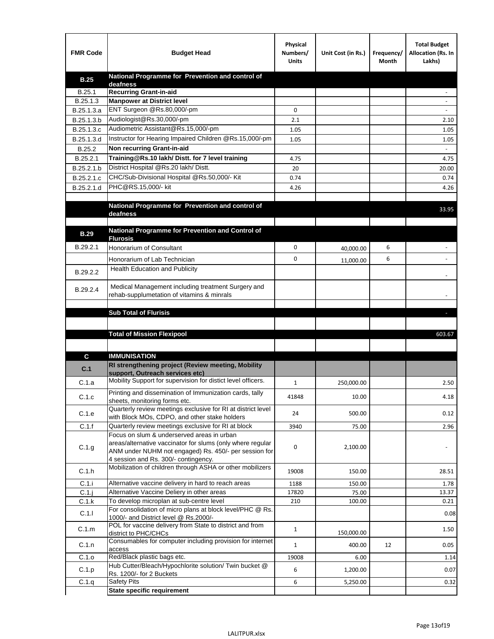| <b>FMR Code</b>   | <b>Budget Head</b>                                                                                                  | Physical<br>Numbers/<br><b>Units</b> | Unit Cost (in Rs.) | Frequency/<br>Month | <b>Total Budget</b><br>Allocation (Rs. In<br>Lakhs) |
|-------------------|---------------------------------------------------------------------------------------------------------------------|--------------------------------------|--------------------|---------------------|-----------------------------------------------------|
| <b>B.25</b>       | National Programme for Prevention and control of                                                                    |                                      |                    |                     |                                                     |
| B.25.1            | deafness<br>Recurring Grant-in-aid                                                                                  |                                      |                    |                     |                                                     |
| B.25.1.3          | <b>Manpower at District level</b>                                                                                   |                                      |                    |                     |                                                     |
| B.25.1.3.a        | ENT Surgeon @Rs.80,000/-pm                                                                                          | 0                                    |                    |                     |                                                     |
| B.25.1.3.b        | Audiologist@Rs.30,000/-pm                                                                                           | 2.1                                  |                    |                     | 2.10                                                |
| B.25.1.3.c        | Audiometric Assistant@Rs.15,000/-pm                                                                                 | 1.05                                 |                    |                     | 1.05                                                |
| B.25.1.3.d        | Instructor for Hearing Impaired Children @Rs.15,000/-pm                                                             | 1.05                                 |                    |                     | 1.05                                                |
| B.25.2            | Non recurring Grant-in-aid                                                                                          |                                      |                    |                     |                                                     |
| B.25.2.1          | Training@Rs.10 lakh/ Distt. for 7 level training                                                                    | 4.75                                 |                    |                     | 4.75                                                |
| B.25.2.1.b        | District Hospital @Rs.20 lakh/Distt.                                                                                | 20                                   |                    |                     | 20.00                                               |
| B.25.2.1.c        | CHC/Sub-Divisional Hospital @Rs.50,000/- Kit                                                                        | 0.74                                 |                    |                     | 0.74                                                |
| B.25.2.1.d        | PHC@RS.15,000/- kit                                                                                                 | 4.26                                 |                    |                     | 4.26                                                |
|                   |                                                                                                                     |                                      |                    |                     |                                                     |
|                   | National Programme for Prevention and control of                                                                    |                                      |                    |                     | 33.95                                               |
|                   | deafness                                                                                                            |                                      |                    |                     |                                                     |
|                   | National Programme for Prevention and Control of                                                                    |                                      |                    |                     |                                                     |
| <b>B.29</b>       | <b>Flurosis</b>                                                                                                     |                                      |                    |                     |                                                     |
| B.29.2.1          | Honorarium of Consultant                                                                                            | 0                                    | 40,000.00          | 6                   |                                                     |
|                   | Honorarium of Lab Technician                                                                                        | 0                                    | 11,000.00          | 6                   | $\ddot{\phantom{1}}$                                |
| B.29.2.2          | <b>Health Education and Publicity</b>                                                                               |                                      |                    |                     |                                                     |
|                   |                                                                                                                     |                                      |                    |                     |                                                     |
| B.29.2.4          | Medical Management including treatment Surgery and                                                                  |                                      |                    |                     |                                                     |
|                   | rehab-supplumetation of vitamins & minrals                                                                          |                                      |                    |                     |                                                     |
|                   |                                                                                                                     |                                      |                    |                     |                                                     |
|                   | <b>Sub Total of Flurisis</b>                                                                                        |                                      |                    |                     | ь                                                   |
|                   |                                                                                                                     |                                      |                    |                     |                                                     |
|                   | <b>Total of Mission Flexipool</b>                                                                                   |                                      |                    |                     | 603.67                                              |
|                   |                                                                                                                     |                                      |                    |                     |                                                     |
| C                 | <b>IMMUNISATION</b>                                                                                                 |                                      |                    |                     |                                                     |
| C.1               | RI strengthening project (Review meeting, Mobility<br>support, Outreach services etc)                               |                                      |                    |                     |                                                     |
| C.1.a             | Mobility Support for supervision for distict level officers.                                                        | $\mathbf{1}$                         | 250,000.00         |                     | 2.50                                                |
|                   |                                                                                                                     |                                      |                    |                     |                                                     |
| C.1.c             | Printing and dissemination of Immunization cards, tally<br>sheets, monitoring forms etc.                            | 41848                                | 10.00              |                     | 4.18                                                |
|                   | Quarterly review meetings exclusive for RI at district level                                                        |                                      |                    |                     |                                                     |
| C.1.e             | with Block MOs, CDPO, and other stake holders                                                                       | 24                                   | 500.00             |                     | 0.12                                                |
| C.1.f             | Quarterly review meetings exclusive for RI at block                                                                 | 3940                                 | 75.00              |                     | 2.96                                                |
|                   | Focus on slum & underserved areas in urban                                                                          |                                      |                    |                     |                                                     |
| C.1.g             | areas/alternative vaccinator for slums (only where regular<br>ANM under NUHM not engaged) Rs. 450/- per session for | 0                                    | 2,100.00           |                     |                                                     |
|                   | 4 session and Rs. 300/- contingency.                                                                                |                                      |                    |                     |                                                     |
| C.1.h             | Mobilization of children through ASHA or other mobilizers                                                           | 19008                                | 150.00             |                     | 28.51                                               |
|                   |                                                                                                                     |                                      |                    |                     |                                                     |
| C.1.i             | Alternative vaccine delivery in hard to reach areas                                                                 | 1188                                 | 150.00             |                     | 1.78                                                |
| $C.1$ .j<br>C.1.k | Alternative Vaccine Deliery in other areas<br>To develop microplan at sub-centre level                              | 17820<br>210                         | 75.00<br>100.00    |                     | 13.37<br>0.21                                       |
|                   | For consolidation of micro plans at block level/PHC @ Rs.                                                           |                                      |                    |                     |                                                     |
| C.1.1             | 1000/- and District level @ Rs.2000/-                                                                               |                                      |                    |                     | 0.08                                                |
| C.1.m             | POL for vaccine delivery from State to district and from                                                            | $\mathbf{1}$                         |                    |                     | 1.50                                                |
|                   | district to PHC/CHCs<br>Consumables for computer including provision for internet                                   |                                      | 150,000.00         |                     |                                                     |
| C.1.n             | access                                                                                                              | $\mathbf{1}$                         | 400.00             | 12                  | 0.05                                                |
| C.1.o             | Red/Black plastic bags etc.                                                                                         | 19008                                | 6.00               |                     | 1.14                                                |
| C.1.p             | Hub Cutter/Bleach/Hypochlorite solution/ Twin bucket @                                                              | 6                                    | 1,200.00           |                     | 0.07                                                |
|                   | Rs. 1200/- for 2 Buckets<br><b>Safety Pits</b>                                                                      |                                      |                    |                     |                                                     |
| C.1.q             | <b>State specific requirement</b>                                                                                   | 6                                    | 5,250.00           |                     | 0.32                                                |
|                   |                                                                                                                     |                                      |                    |                     |                                                     |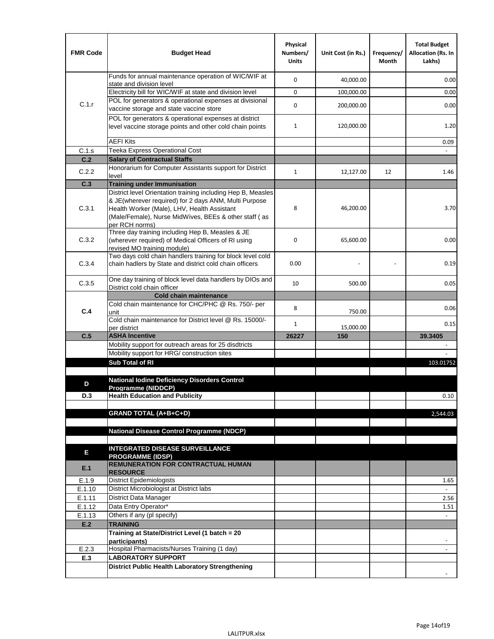| <b>FMR Code</b> | <b>Budget Head</b>                                                                                                                                                              | Physical<br>Numbers/<br><b>Units</b> | Unit Cost (in Rs.) | Frequency/<br>Month | <b>Total Budget</b><br>Allocation (Rs. In<br>Lakhs) |
|-----------------|---------------------------------------------------------------------------------------------------------------------------------------------------------------------------------|--------------------------------------|--------------------|---------------------|-----------------------------------------------------|
|                 | Funds for annual maintenance operation of WIC/WIF at<br>state and division level                                                                                                | 0                                    | 40,000.00          |                     | 0.00                                                |
|                 | Electricity bill for WIC/WIF at state and division level                                                                                                                        | 0                                    | 100,000.00         |                     | 0.00                                                |
| C.1.r           | POL for generators & operational expenses at divisional                                                                                                                         |                                      |                    |                     |                                                     |
|                 | vaccine storage and state vaccine store                                                                                                                                         | 0                                    | 200,000.00         |                     | 0.00                                                |
|                 | POL for generators & operational expenses at district<br>level vaccine storage points and other cold chain points                                                               | $\mathbf{1}$                         | 120,000.00         |                     | 1.20                                                |
|                 | <b>AEFI Kits</b>                                                                                                                                                                |                                      |                    |                     | 0.09                                                |
| C.1.s           | Teeka Express Operational Cost                                                                                                                                                  |                                      |                    |                     |                                                     |
| C.2             | <b>Salary of Contractual Staffs</b>                                                                                                                                             |                                      |                    |                     |                                                     |
| C.2.2           | Honorarium for Computer Assistants support for District<br>level                                                                                                                | $\mathbf{1}$                         | 12,127.00          | 12                  | 1.46                                                |
| C.3             | <b>Training under Immunisation</b>                                                                                                                                              |                                      |                    |                     |                                                     |
|                 | District level Orientation training including Hep B, Measles                                                                                                                    |                                      |                    |                     |                                                     |
| C.3.1           | & JE(wherever required) for 2 days ANM, Multi Purpose<br>Health Worker (Male), LHV, Health Assistant<br>(Male/Female), Nurse MidWives, BEEs & other staff (as<br>per RCH norms) | 8                                    | 46,200.00          |                     | 3.70                                                |
| C.3.2           | Three day training including Hep B, Measles & JE<br>(wherever required) of Medical Officers of RI using<br>revised MO training module)                                          | 0                                    | 65,600.00          |                     | 0.00                                                |
| C.3.4           | Two days cold chain handlers training for block level cold<br>chain hadlers by State and district cold chain officers                                                           | 0.00                                 |                    |                     | 0.19                                                |
| C.3.5           | One day training of block level data handlers by DIOs and<br>District cold chain officer                                                                                        | 10                                   | 500.00             |                     | 0.05                                                |
|                 | <b>Cold chain maintenance</b>                                                                                                                                                   |                                      |                    |                     |                                                     |
|                 | Cold chain maintenance for CHC/PHC @ Rs. 750/- per                                                                                                                              | 8                                    |                    |                     | 0.06                                                |
| C.4             | unit                                                                                                                                                                            |                                      | 750.00             |                     |                                                     |
|                 | Cold chain maintenance for District level @ Rs. 15000/-<br>per district                                                                                                         | $\mathbf{1}$                         | 15,000.00          |                     | 0.15                                                |
| C.5             | <b>ASHA Incentive</b>                                                                                                                                                           | 26227                                | 150                |                     | 39.3405                                             |
|                 | Mobility support for outreach areas for 25 disdtricts                                                                                                                           |                                      |                    |                     |                                                     |
|                 | Mobility support for HRG/ construction sites                                                                                                                                    |                                      |                    |                     |                                                     |
|                 | Sub Total of RI                                                                                                                                                                 |                                      |                    |                     | 103.01752                                           |
|                 | <b>National lodine Deficiency Disorders Control</b>                                                                                                                             |                                      |                    |                     |                                                     |
| D               | Programme (NIDDCP)                                                                                                                                                              |                                      |                    |                     |                                                     |
| D.3             | <b>Health Education and Publicity</b>                                                                                                                                           |                                      |                    |                     | 0.10                                                |
|                 |                                                                                                                                                                                 |                                      |                    |                     |                                                     |
|                 | <b>GRAND TOTAL (A+B+C+D)</b>                                                                                                                                                    |                                      |                    |                     | 2.544.03                                            |
|                 | National Disease Control Programme (NDCP)                                                                                                                                       |                                      |                    |                     |                                                     |
|                 |                                                                                                                                                                                 |                                      |                    |                     |                                                     |
|                 | <b>INTEGRATED DISEASE SURVEILLANCE</b>                                                                                                                                          |                                      |                    |                     |                                                     |
| Е<br>E.1        | <b>PROGRAMME (IDSP)</b><br><b>REMUNERATION FOR CONTRACTUAL HUMAN</b>                                                                                                            |                                      |                    |                     |                                                     |
| E.1.9           | <b>RESOURCE</b><br>District Epidemiologists                                                                                                                                     |                                      |                    |                     | 1.65                                                |
| E.1.10          | District Microbiologist at District labs                                                                                                                                        |                                      |                    |                     |                                                     |
| E.1.11          | District Data Manager                                                                                                                                                           |                                      |                    |                     | 2.56                                                |
| E.1.12          | Data Entry Operator*                                                                                                                                                            |                                      |                    |                     | 1.51                                                |
| E.1.13          | Others if any (pl specify)                                                                                                                                                      |                                      |                    |                     | $\omega$                                            |
| E.2             | <b>TRAINING</b>                                                                                                                                                                 |                                      |                    |                     |                                                     |
|                 | Training at State/District Level (1 batch = 20                                                                                                                                  |                                      |                    |                     |                                                     |
| E.2.3           | participants)<br>Hospital Pharmacists/Nurses Training (1 day)                                                                                                                   |                                      |                    |                     |                                                     |
| E.3             | <b>LABORATORY SUPPORT</b>                                                                                                                                                       |                                      |                    |                     |                                                     |
|                 | <b>District Public Health Laboratory Strengthening</b>                                                                                                                          |                                      |                    |                     |                                                     |
|                 |                                                                                                                                                                                 |                                      |                    |                     |                                                     |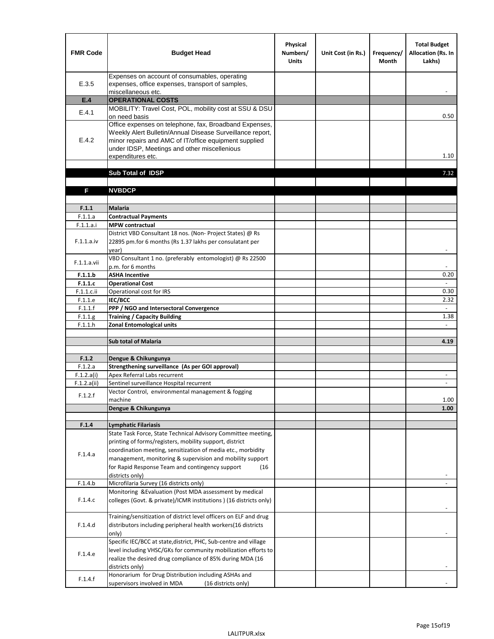| <b>FMR Code</b>    | <b>Budget Head</b>                                                                                                                                                                                                                                | Physical<br>Numbers/<br><b>Units</b> | Unit Cost (in Rs.) | Frequency/<br><b>Month</b> | <b>Total Budget</b><br>Allocation (Rs. In<br>Lakhs) |
|--------------------|---------------------------------------------------------------------------------------------------------------------------------------------------------------------------------------------------------------------------------------------------|--------------------------------------|--------------------|----------------------------|-----------------------------------------------------|
| E.3.5              | Expenses on account of consumables, operating<br>expenses, office expenses, transport of samples,<br>miscellaneous etc.                                                                                                                           |                                      |                    |                            |                                                     |
| E.4                | <b>OPERATIONAL COSTS</b>                                                                                                                                                                                                                          |                                      |                    |                            |                                                     |
| E.4.1              | MOBILITY: Travel Cost, POL, mobility cost at SSU & DSU<br>on need basis                                                                                                                                                                           |                                      |                    |                            | 0.50                                                |
| E.4.2              | Office expenses on telephone, fax, Broadband Expenses,<br>Weekly Alert Bulletin/Annual Disease Surveillance report,<br>minor repairs and AMC of IT/office equipment supplied<br>under IDSP, Meetings and other miscellenious<br>expenditures etc. |                                      |                    |                            | 1.10                                                |
|                    | Sub Total of IDSP                                                                                                                                                                                                                                 |                                      |                    |                            | 7.32                                                |
|                    |                                                                                                                                                                                                                                                   |                                      |                    |                            |                                                     |
| F                  | <b>NVBDCP</b>                                                                                                                                                                                                                                     |                                      |                    |                            |                                                     |
| F.1.1              | Malaria                                                                                                                                                                                                                                           |                                      |                    |                            |                                                     |
| F.1.1.a            | <b>Contractual Payments</b>                                                                                                                                                                                                                       |                                      |                    |                            |                                                     |
| F.1.1.a.i          | <b>MPW</b> contractual                                                                                                                                                                                                                            |                                      |                    |                            |                                                     |
| F.1.1.a.iv         | District VBD Consultant 18 nos. (Non-Project States) @ Rs<br>22895 pm.for 6 months (Rs 1.37 lakhs per consulatant per<br>year)                                                                                                                    |                                      |                    |                            | $\blacksquare$                                      |
| F.1.1.a.vii        | VBD Consultant 1 no. (preferably entomologist) @ Rs 22500<br>p.m. for 6 months                                                                                                                                                                    |                                      |                    |                            |                                                     |
| F.1.1.b            | <b>ASHA Incentive</b>                                                                                                                                                                                                                             |                                      |                    |                            | 0.20                                                |
| F.1.1.c            | <b>Operational Cost</b>                                                                                                                                                                                                                           |                                      |                    |                            | $\overline{\phantom{a}}$                            |
| F.1.1.c.ii         | Operational cost for IRS                                                                                                                                                                                                                          |                                      |                    |                            | 0.30                                                |
| F.1.1.e            | IEC/BCC                                                                                                                                                                                                                                           |                                      |                    |                            | 2.32                                                |
| F.1.1.f            | PPP / NGO and Intersectoral Convergence                                                                                                                                                                                                           |                                      |                    |                            | $\mathbf{r}$                                        |
| F.1.1.g<br>F.1.1.h | <b>Training / Capacity Building</b><br><b>Zonal Entomological units</b>                                                                                                                                                                           |                                      |                    |                            | 1.38                                                |
|                    |                                                                                                                                                                                                                                                   |                                      |                    |                            |                                                     |
|                    | <b>Sub total of Malaria</b>                                                                                                                                                                                                                       |                                      |                    |                            | 4.19                                                |
|                    |                                                                                                                                                                                                                                                   |                                      |                    |                            |                                                     |
| F.1.2              | Dengue & Chikungunya                                                                                                                                                                                                                              |                                      |                    |                            |                                                     |
| F.1.2.a            | Strengthening surveillance (As per GOI approval)                                                                                                                                                                                                  |                                      |                    |                            |                                                     |
| F.1.2.a(i)         | Apex Referral Labs recurrent                                                                                                                                                                                                                      |                                      |                    |                            | $\overline{\phantom{a}}$                            |
| F.1.2.a(ii)        | Sentinel surveillance Hospital recurrent<br>Vector Control, environmental management & fogging                                                                                                                                                    |                                      |                    |                            |                                                     |
| F.1.2.f            | machine                                                                                                                                                                                                                                           |                                      |                    |                            | 1.00                                                |
|                    | Dengue & Chikungunya                                                                                                                                                                                                                              |                                      |                    |                            | 1.00                                                |
|                    |                                                                                                                                                                                                                                                   |                                      |                    |                            |                                                     |
| F.1.4              | <b>Lymphatic Filariasis</b>                                                                                                                                                                                                                       |                                      |                    |                            |                                                     |
|                    | State Task Force, State Technical Advisory Committee meeting,                                                                                                                                                                                     |                                      |                    |                            |                                                     |
|                    | printing of forms/registers, mobility support, district                                                                                                                                                                                           |                                      |                    |                            |                                                     |
| F.1.4.a            | coordination meeting, sensitization of media etc., morbidity                                                                                                                                                                                      |                                      |                    |                            |                                                     |
|                    | management, monitoring & supervision and mobility support                                                                                                                                                                                         |                                      |                    |                            |                                                     |
|                    | for Rapid Response Team and contingency support<br>(16)<br>districts only)                                                                                                                                                                        |                                      |                    |                            |                                                     |
| F.1.4.b            | Microfilaria Survey (16 districts only)                                                                                                                                                                                                           |                                      |                    |                            |                                                     |
|                    | Monitoring & Evaluation (Post MDA assessment by medical                                                                                                                                                                                           |                                      |                    |                            |                                                     |
| F.1.4.c            | colleges (Govt. & private)/ICMR institutions ) (16 districts only)                                                                                                                                                                                |                                      |                    |                            |                                                     |
|                    | Training/sensitization of district level officers on ELF and drug                                                                                                                                                                                 |                                      |                    |                            |                                                     |
| F.1.4.d            | distributors including peripheral health workers(16 districts                                                                                                                                                                                     |                                      |                    |                            |                                                     |
|                    | only)                                                                                                                                                                                                                                             |                                      |                    |                            |                                                     |
|                    | Specific IEC/BCC at state, district, PHC, Sub-centre and village                                                                                                                                                                                  |                                      |                    |                            |                                                     |
| F.1.4.e            | level including VHSC/GKs for community mobilization efforts to                                                                                                                                                                                    |                                      |                    |                            |                                                     |
|                    | realize the desired drug compliance of 85% during MDA (16                                                                                                                                                                                         |                                      |                    |                            |                                                     |
|                    | districts only)<br>Honorarium for Drug Distribution including ASHAs and                                                                                                                                                                           |                                      |                    |                            |                                                     |
| F.1.4.f            | supervisors involved in MDA<br>(16 districts only)                                                                                                                                                                                                |                                      |                    |                            |                                                     |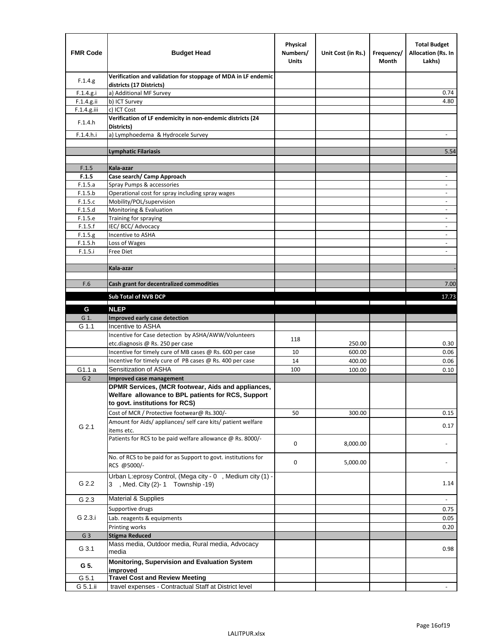| <b>FMR Code</b> | <b>Budget Head</b>                                                                        | Physical<br>Numbers/<br><b>Units</b> | Unit Cost (in Rs.)                                                                                                        | Frequency/<br>Month | <b>Total Budget</b><br>Allocation (Rs. In<br>Lakhs) |
|-----------------|-------------------------------------------------------------------------------------------|--------------------------------------|---------------------------------------------------------------------------------------------------------------------------|---------------------|-----------------------------------------------------|
| F.1.4.g.        | Verification and validation for stoppage of MDA in LF endemic<br>districts (17 Districts) |                                      |                                                                                                                           |                     |                                                     |
| F.1.4.g.i       | a) Additional MF Survey                                                                   |                                      |                                                                                                                           |                     | 0.74                                                |
| $F.1.4.g.$ ii   | b) ICT Survey                                                                             |                                      |                                                                                                                           |                     | 4.80                                                |
| $F.1.4.g.$ iii  | c) ICT Cost                                                                               |                                      |                                                                                                                           |                     |                                                     |
| F.1.4.h         | Verification of LF endemicity in non-endemic districts (24<br>Districts)                  |                                      |                                                                                                                           |                     |                                                     |
| F.1.4.h.i       | a) Lymphoedema & Hydrocele Survey                                                         |                                      |                                                                                                                           |                     |                                                     |
|                 | <b>Lymphatic Filariasis</b>                                                               |                                      |                                                                                                                           |                     | 5.54                                                |
|                 |                                                                                           |                                      |                                                                                                                           |                     |                                                     |
| F.1.5           | Kala-azar                                                                                 |                                      |                                                                                                                           |                     |                                                     |
| F.1.5           | Case search/ Camp Approach                                                                |                                      |                                                                                                                           |                     | $\overline{\phantom{a}}$                            |
| F.1.5.a         | Spray Pumps & accessories                                                                 |                                      |                                                                                                                           |                     | $\overline{\phantom{a}}$                            |
| F.1.5.b         | Operational cost for spray including spray wages                                          |                                      |                                                                                                                           |                     |                                                     |
| F.1.5.c         | Mobility/POL/supervision                                                                  |                                      |                                                                                                                           |                     | $\overline{\phantom{a}}$                            |
| F.1.5.d         | Monitoring & Evaluation                                                                   |                                      |                                                                                                                           |                     | $\blacksquare$                                      |
| F.1.5.e         | Training for spraying                                                                     |                                      |                                                                                                                           |                     | $\sim$                                              |
| F.1.5.f         | IEC/BCC/Advocacy                                                                          |                                      |                                                                                                                           |                     |                                                     |
| F.1.5.g         | Incentive to ASHA                                                                         |                                      |                                                                                                                           |                     | $\overline{\phantom{a}}$                            |
| F.1.5.h         | Loss of Wages                                                                             |                                      |                                                                                                                           |                     | $\overline{\phantom{a}}$                            |
| F.1.5.i         | Free Diet                                                                                 |                                      |                                                                                                                           |                     |                                                     |
|                 | Kala-azar                                                                                 |                                      |                                                                                                                           |                     |                                                     |
|                 |                                                                                           |                                      |                                                                                                                           |                     |                                                     |
| F.6             | Cash grant for decentralized commodities                                                  |                                      |                                                                                                                           |                     | 7.00                                                |
|                 | Sub Total of NVB DCP                                                                      |                                      |                                                                                                                           |                     |                                                     |
|                 |                                                                                           |                                      | <u> Tanzania di San Amerika di San Amerika di San Amerika di San Amerika di San Amerika di San Amerika di San Amerika</u> |                     | 17.73                                               |
| G               | <b>NLEP</b>                                                                               |                                      |                                                                                                                           |                     |                                                     |
| G 1.            | Improved early case detection                                                             |                                      |                                                                                                                           |                     |                                                     |
| G 1.1           | Incentive to ASHA                                                                         |                                      |                                                                                                                           |                     |                                                     |
|                 | Incentive for Case detection by ASHA/AWW/Volunteers                                       | 118                                  |                                                                                                                           |                     |                                                     |
|                 | etc.diagnosis @ Rs. 250 per case                                                          |                                      | 250.00                                                                                                                    |                     | 0.30                                                |
|                 | Incentive for timely cure of MB cases @ Rs. 600 per case                                  | 10                                   | 600.00                                                                                                                    |                     | 0.06                                                |
|                 | Incentive for timely cure of PB cases @ Rs. 400 per case                                  | 14                                   | 400.00                                                                                                                    |                     | 0.06                                                |
| G1.1 a          | Sensitization of ASHA                                                                     | 100                                  | 100.00                                                                                                                    |                     | 0.10                                                |
| G <sub>2</sub>  | Improved case management                                                                  |                                      |                                                                                                                           |                     |                                                     |
|                 | DPMR Services, (MCR footwear, Aids and appliances,                                        |                                      |                                                                                                                           |                     |                                                     |
|                 | Welfare allowance to BPL patients for RCS, Support                                        |                                      |                                                                                                                           |                     |                                                     |
|                 | to govt. institutions for RCS)                                                            |                                      |                                                                                                                           |                     |                                                     |
|                 | Cost of MCR / Protective footwear@ Rs.300/-                                               | 50                                   | 300.00                                                                                                                    |                     | 0.15                                                |
| G 2.1           | Amount for Aids/ appliances/ self care kits/ patient welfare                              |                                      |                                                                                                                           |                     | 0.17                                                |
|                 | items etc.                                                                                |                                      |                                                                                                                           |                     |                                                     |
|                 | Patients for RCS to be paid welfare allowance @ Rs. 8000/-                                | 0                                    | 8,000.00                                                                                                                  |                     |                                                     |
|                 |                                                                                           |                                      |                                                                                                                           |                     |                                                     |
|                 | No. of RCS to be paid for as Support to govt. institutions for                            |                                      |                                                                                                                           |                     |                                                     |
|                 | RCS @5000/-                                                                               | 0                                    | 5,000.00                                                                                                                  |                     |                                                     |
|                 | Urban L:eprosy Control, (Mega city - 0, Medium city (1) -                                 |                                      |                                                                                                                           |                     |                                                     |
| G 2.2           | 3 , Med. City (2)-1 Township -19)                                                         |                                      |                                                                                                                           |                     | 1.14                                                |
|                 |                                                                                           |                                      |                                                                                                                           |                     |                                                     |
| G 2.3           | Material & Supplies                                                                       |                                      |                                                                                                                           |                     | $\blacksquare$                                      |
| G 2.3.i         | Supportive drugs                                                                          |                                      |                                                                                                                           |                     | 0.75                                                |
|                 | Lab. reagents & equipments                                                                |                                      |                                                                                                                           |                     | 0.05                                                |
|                 | Printing works                                                                            |                                      |                                                                                                                           |                     | 0.20                                                |
| G <sub>3</sub>  | <b>Stigma Reduced</b>                                                                     |                                      |                                                                                                                           |                     |                                                     |
| G 3.1           | Mass media, Outdoor media, Rural media, Advocacy                                          |                                      |                                                                                                                           |                     | 0.98                                                |
|                 | media                                                                                     |                                      |                                                                                                                           |                     |                                                     |
| G 5.            | Monitoring, Supervision and Evaluation System                                             |                                      |                                                                                                                           |                     |                                                     |
|                 | improved                                                                                  |                                      |                                                                                                                           |                     |                                                     |
| G 5.1           | <b>Travel Cost and Review Meeting</b>                                                     |                                      |                                                                                                                           |                     |                                                     |
| G 5.1.ii        | travel expenses - Contractual Staff at District level                                     |                                      |                                                                                                                           |                     |                                                     |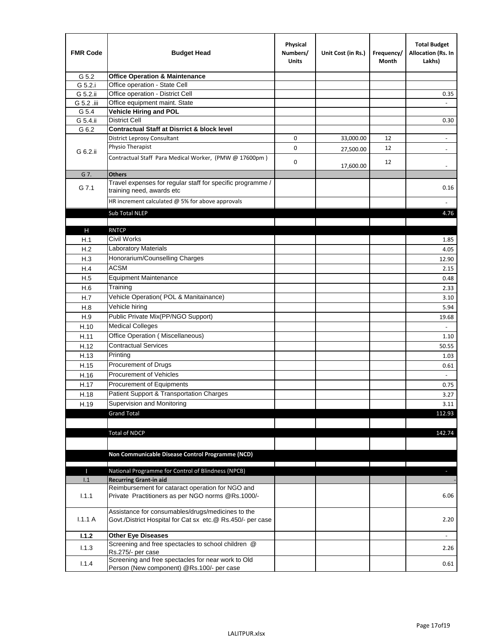| <b>FMR Code</b> | <b>Budget Head</b>                                                                                              | Physical<br>Numbers/<br><b>Units</b> | Unit Cost (in Rs.) | Frequency/<br>Month | <b>Total Budget</b><br>Allocation (Rs. In<br>Lakhs) |
|-----------------|-----------------------------------------------------------------------------------------------------------------|--------------------------------------|--------------------|---------------------|-----------------------------------------------------|
| G 5.2           | <b>Office Operation &amp; Maintenance</b>                                                                       |                                      |                    |                     |                                                     |
| G 5.2.i         | Office operation - State Cell                                                                                   |                                      |                    |                     |                                                     |
| G 5.2.ii        | Office operation - District Cell                                                                                |                                      |                    |                     | 0.35                                                |
| G 5.2 .iii      | Office equipment maint. State                                                                                   |                                      |                    |                     |                                                     |
| G 5.4           | <b>Vehicle Hiring and POL</b>                                                                                   |                                      |                    |                     |                                                     |
| G 5.4.ii        | <b>District Cell</b>                                                                                            |                                      |                    |                     | 0.30                                                |
| G 6.2           | <b>Contractual Staff at Disrrict &amp; block level</b>                                                          |                                      |                    |                     |                                                     |
|                 | <b>District Leprosy Consultant</b>                                                                              | 0                                    | 33,000.00          | 12                  |                                                     |
| G 6.2.ii        | Physio Therapist                                                                                                | 0                                    | 27,500.00          | 12                  |                                                     |
|                 | Contractual Staff Para Medical Worker, (PMW @ 17600pm)                                                          | 0                                    | 17,600.00          | 12                  | $\overline{\phantom{a}}$                            |
| G 7.            | <b>Others</b>                                                                                                   |                                      |                    |                     |                                                     |
| G 7.1           | Travel expenses for regular staff for specific programme /<br>training need, awards etc                         |                                      |                    |                     | 0.16                                                |
|                 | HR increment calculated $@$ 5% for above approvals                                                              |                                      |                    |                     |                                                     |
|                 | Sub Total NLEP                                                                                                  |                                      |                    |                     | 4.76                                                |
|                 |                                                                                                                 |                                      |                    |                     |                                                     |
| Н               | <b>RNTCP</b>                                                                                                    |                                      |                    |                     |                                                     |
| H.1             | Civil Works                                                                                                     |                                      |                    |                     | 1.85                                                |
| H.2             | Laboratory Materials                                                                                            |                                      |                    |                     | 4.05                                                |
| H.3             | Honorarium/Counselling Charges                                                                                  |                                      |                    |                     | 12.90                                               |
| H.4             | <b>ACSM</b>                                                                                                     |                                      |                    |                     | 2.15                                                |
| H.5             | <b>Equipment Maintenance</b>                                                                                    |                                      |                    |                     | 0.48                                                |
| H.6             | Training                                                                                                        |                                      |                    |                     | 2.33                                                |
| H.7             | Vehicle Operation(POL & Manitainance)                                                                           |                                      |                    |                     | 3.10                                                |
| H.8             | Vehicle hiring                                                                                                  |                                      |                    |                     | 5.94                                                |
| H.9             | Public Private Mix(PP/NGO Support)                                                                              |                                      |                    |                     | 19.68                                               |
| H.10            | <b>Medical Colleges</b>                                                                                         |                                      |                    |                     | $\sim$                                              |
| H.11            | Office Operation (Miscellaneous)                                                                                |                                      |                    |                     | 1.10                                                |
| H.12            | <b>Contractual Services</b>                                                                                     |                                      |                    |                     | 50.55                                               |
| H.13            | Printing                                                                                                        |                                      |                    |                     | 1.03                                                |
| H.15            | Procurement of Drugs                                                                                            |                                      |                    |                     | 0.61                                                |
| H.16            | Procurement of Vehicles                                                                                         |                                      |                    |                     | $\omega$                                            |
| H.17            | Procurement of Equipments                                                                                       |                                      |                    |                     | 0.75                                                |
| H.18            | Patient Support & Transportation Charges                                                                        |                                      |                    |                     | 3.27                                                |
| H.19            | Supervision and Monitoring                                                                                      |                                      |                    |                     | 3.11                                                |
|                 | <b>Grand Total</b>                                                                                              |                                      |                    |                     | 112.93                                              |
|                 |                                                                                                                 |                                      |                    |                     |                                                     |
|                 | <b>Total of NDCP</b>                                                                                            |                                      |                    |                     | 142.74                                              |
|                 |                                                                                                                 |                                      |                    |                     |                                                     |
|                 |                                                                                                                 |                                      |                    |                     |                                                     |
|                 | Non Communicable Disease Control Programme (NCD)                                                                |                                      |                    |                     |                                                     |
| Т               | National Programme for Control of Blindness (NPCB)                                                              |                                      |                    |                     | ÷.                                                  |
| 1.1             | <b>Recurring Grant-in aid</b>                                                                                   |                                      |                    |                     |                                                     |
|                 | Reimbursement for cataract operation for NGO and                                                                |                                      |                    |                     |                                                     |
| 1.1.1           | Private Practitioners as per NGO norms @Rs.1000/-                                                               |                                      |                    |                     | 6.06                                                |
| 1.1.1A          | Assistance for consumables/drugs/medicines to the<br>Govt./District Hospital for Cat sx etc.@ Rs.450/- per case |                                      |                    |                     | 2.20                                                |
| 1.1.2           | <b>Other Eye Diseases</b>                                                                                       |                                      |                    |                     |                                                     |
| 1.1.3           | Screening and free spectacles to school children @                                                              |                                      |                    |                     | 2.26                                                |
|                 | Rs.275/- per case                                                                                               |                                      |                    |                     |                                                     |
| 1.1.4           | Screening and free spectacles for near work to Old<br>Person (New component) @Rs.100/- per case                 |                                      |                    |                     | 0.61                                                |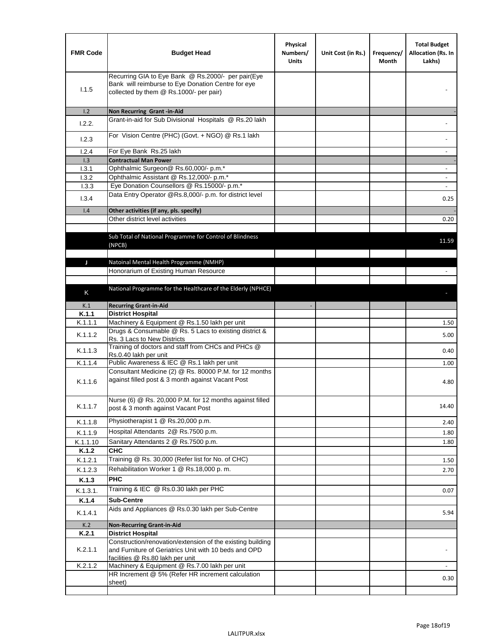| <b>FMR Code</b> | <b>Budget Head</b>                                                                                                                                      | Physical<br>Numbers/<br><b>Units</b> | Unit Cost (in Rs.) | Frequency/<br>Month | <b>Total Budget</b><br>Allocation (Rs. In<br>Lakhs) |
|-----------------|---------------------------------------------------------------------------------------------------------------------------------------------------------|--------------------------------------|--------------------|---------------------|-----------------------------------------------------|
| 1.1.5           | Recurring GIA to Eye Bank @ Rs.2000/- per pair(Eye<br>Bank will reimburse to Eye Donation Centre for eye<br>collected by them @ Rs.1000/- per pair)     |                                      |                    |                     |                                                     |
| 1.2             | Non Recurring Grant -in-Aid                                                                                                                             |                                      |                    |                     |                                                     |
| 1.2.2.          | Grant-in-aid for Sub Divisional Hospitals @ Rs.20 lakh                                                                                                  |                                      |                    |                     |                                                     |
| 1.2.3           | For Vision Centre (PHC) (Govt. + NGO) @ Rs.1 lakh                                                                                                       |                                      |                    |                     |                                                     |
| 1.2.4           | For Eye Bank Rs.25 lakh                                                                                                                                 |                                      |                    |                     | ÷.                                                  |
| 1.3             | <b>Contractual Man Power</b>                                                                                                                            |                                      |                    |                     |                                                     |
| 1.3.1           | Ophthalmic Surgeon@ Rs.60,000/- p.m.*                                                                                                                   |                                      |                    |                     | $\overline{\phantom{a}}$                            |
| 1.3.2           | Ophthalmic Assistant @ Rs.12,000/- p.m.*                                                                                                                |                                      |                    |                     |                                                     |
| 1.3.3           | Eye Donation Counsellors @ Rs.15000/- p.m.*                                                                                                             |                                      |                    |                     | $\overline{\phantom{a}}$                            |
| 1.3.4           | Data Entry Operator @Rs.8,000/- p.m. for district level                                                                                                 |                                      |                    |                     | 0.25                                                |
| 1.4             | Other activities (if any, pls. specify)                                                                                                                 |                                      |                    |                     |                                                     |
|                 | Other district level activities                                                                                                                         |                                      |                    |                     | 0.20                                                |
|                 |                                                                                                                                                         |                                      |                    |                     |                                                     |
|                 | Sub Total of National Programme for Control of Blindness                                                                                                |                                      |                    |                     | 11.59                                               |
|                 | (NPCB)                                                                                                                                                  |                                      |                    |                     |                                                     |
|                 |                                                                                                                                                         |                                      |                    |                     |                                                     |
| J               | Natoinal Mental Health Programme (NMHP)<br>Honorarium of Existing Human Resource                                                                        |                                      |                    |                     |                                                     |
|                 |                                                                                                                                                         |                                      |                    |                     |                                                     |
|                 | National Programme for the Healthcare of the Elderly (NPHCE)                                                                                            |                                      |                    |                     |                                                     |
| K               |                                                                                                                                                         |                                      |                    |                     |                                                     |
| K.1             | <b>Recurring Grant-in-Aid</b>                                                                                                                           |                                      |                    |                     |                                                     |
| K.1.1           | <b>District Hospital</b>                                                                                                                                |                                      |                    |                     |                                                     |
| K.1.1.1         | Machinery & Equipment @ Rs.1.50 lakh per unit                                                                                                           |                                      |                    |                     | 1.50                                                |
| K.1.1.2         | Drugs & Consumable @ Rs. 5 Lacs to existing district &                                                                                                  |                                      |                    |                     | 5.00                                                |
|                 | Rs. 3 Lacs to New Districts<br>Training of doctors and staff from CHCs and PHCs @                                                                       |                                      |                    |                     |                                                     |
| K.1.1.3         | Rs.0.40 lakh per unit                                                                                                                                   |                                      |                    |                     | 0.40                                                |
| K.1.1.4         | Public Awareness & IEC @ Rs.1 lakh per unit                                                                                                             |                                      |                    |                     | 1.00                                                |
| K.1.1.6         | Consultant Medicine (2) @ Rs. 80000 P.M. for 12 months<br>against filled post & 3 month against Vacant Post                                             |                                      |                    |                     | 4.80                                                |
| K.1.1.7         | Nurse (6) @ Rs. 20,000 P.M. for 12 months against filled<br>post & 3 month against Vacant Post                                                          |                                      |                    |                     | 14.40                                               |
| K.1.1.8         | Physiotherapist 1 @ Rs.20,000 p.m.                                                                                                                      |                                      |                    |                     | 2.40                                                |
| K.1.1.9         | Hospital Attendants 2@ Rs.7500 p.m.                                                                                                                     |                                      |                    |                     |                                                     |
| K.1.1.10        | Sanitary Attendants 2 @ Rs.7500 p.m.                                                                                                                    |                                      |                    |                     | 1.80<br>1.80                                        |
| K.1.2           | <b>CHC</b>                                                                                                                                              |                                      |                    |                     |                                                     |
| K.1.2.1         | Training @ Rs. 30,000 (Refer list for No. of CHC)                                                                                                       |                                      |                    |                     | 1.50                                                |
| K.1.2.3         | Rehabilitation Worker 1 @ Rs.18,000 p. m.                                                                                                               |                                      |                    |                     | 2.70                                                |
| K.1.3           | <b>PHC</b>                                                                                                                                              |                                      |                    |                     |                                                     |
|                 | Training & IEC @ Rs.0.30 lakh per PHC                                                                                                                   |                                      |                    |                     |                                                     |
| K.1.3.1.        |                                                                                                                                                         |                                      |                    |                     | 0.07                                                |
| K.1.4           | <b>Sub-Centre</b>                                                                                                                                       |                                      |                    |                     |                                                     |
| K.1.4.1         | Aids and Appliances @ Rs.0.30 lakh per Sub-Centre                                                                                                       |                                      |                    |                     | 5.94                                                |
| K.2             | <b>Non-Recurring Grant-in-Aid</b>                                                                                                                       |                                      |                    |                     |                                                     |
| K.2.1           | <b>District Hospital</b>                                                                                                                                |                                      |                    |                     |                                                     |
| K.2.1.1         | Construction/renovation/extension of the existing building<br>and Furniture of Geriatrics Unit with 10 beds and OPD<br>facilities @ Rs.80 lakh per unit |                                      |                    |                     |                                                     |
| K.2.1.2         | Machinery & Equipment @ Rs.7.00 lakh per unit                                                                                                           |                                      |                    |                     |                                                     |
|                 | HR Increment @ 5% (Refer HR increment calculation                                                                                                       |                                      |                    |                     | 0.30                                                |
|                 | sheet)                                                                                                                                                  |                                      |                    |                     |                                                     |